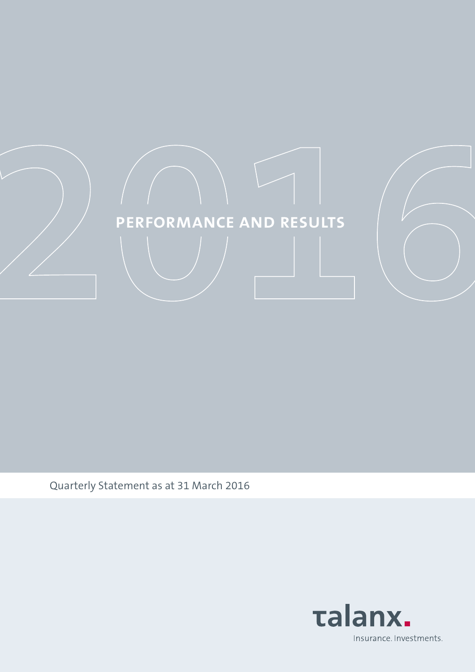# **2016 PERFORMANCE AND RESULTS**

Quarterly Statement as at 31 March 2016

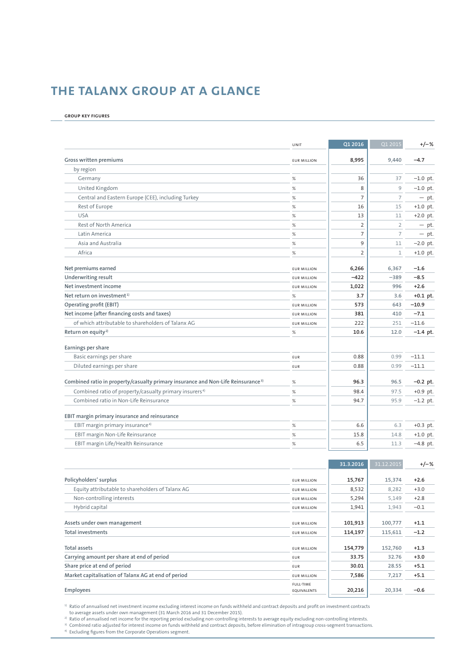# **THE TALANX GROUP AT A GLANCE**

#### **GROUP KEY FIGURES**

|                                                                                              | UNIT               | Q1 2016        | Q1 2015        | $+/-%$     |
|----------------------------------------------------------------------------------------------|--------------------|----------------|----------------|------------|
| Gross written premiums                                                                       | <b>EUR MILLION</b> | 8,995          | 9,440          | $-4.7$     |
| by region                                                                                    |                    |                |                |            |
| Germany                                                                                      | %                  | 36             | 37             | $-1.0$ pt. |
| United Kingdom                                                                               | $\%$               | 8              | 9              | $-1.0$ pt. |
| Central and Eastern Europe (CEE), including Turkey                                           | $\%$               | $\overline{7}$ | $\overline{7}$ | $- pt.$    |
| Rest of Europe                                                                               | $\%$               | 16             | 15             | $+1.0$ pt. |
| <b>USA</b>                                                                                   | $\%$               | 13             | 11             | $+2.0$ pt. |
| Rest of North America                                                                        | $\%$               | $\overline{2}$ | $\overline{2}$ | $- pt.$    |
| Latin America                                                                                | $\%$               | $\overline{7}$ | $\overline{7}$ | $- pt.$    |
| Asia and Australia                                                                           | $\%$               | 9              | 11             | $-2.0$ pt. |
| Africa                                                                                       | $\%$               | $\overline{2}$ | $\mathbf 1$    | $+1.0$ pt. |
| Net premiums earned                                                                          | <b>EUR MILLION</b> | 6,266          | 6,367          | $-1.6$     |
| Underwriting result                                                                          | <b>EUR MILLION</b> | $-422$         | $-389$         | $-8.5$     |
| Net investment income                                                                        | <b>EUR MILLION</b> | 1,022          | 996            | $+2.6$     |
| Net return on investment <sup>1)</sup>                                                       | %                  | 3.7            | 3.6            | $+0.1$ pt. |
| Operating profit (EBIT)                                                                      | <b>EUR MILLION</b> | 573            | 643            | $-10.9$    |
| Net income (after financing costs and taxes)                                                 | <b>EUR MILLION</b> | 381            | 410            | $-7.1$     |
| of which attributable to shareholders of Talanx AG                                           | <b>EUR MILLION</b> | 222            | 251            | $-11.6$    |
| Return on equity <sup>2)</sup>                                                               | $\%$               | 10.6           | 12.0           | $-1.4$ pt. |
| Earnings per share                                                                           |                    |                |                |            |
| Basic earnings per share                                                                     | EUR                | 0.88           | 0.99           | $-11.1$    |
| Diluted earnings per share                                                                   | EUR                | 0.88           | 0.99           | $-11.1$    |
| Combined ratio in property/casualty primary insurance and Non-Life Reinsurance <sup>3)</sup> | $\%$               | 96.3           | 96.5           | $-0.2$ pt. |
| Combined ratio of property/casualty primary insurers <sup>4)</sup>                           | $\%$               | 98.4           | 97.5           | $+0.9$ pt. |
| Combined ratio in Non-Life Reinsurance                                                       | $\%$               | 94.7           | 95.9           | $-1.2$ pt. |
| EBIT margin primary insurance and reinsurance                                                |                    |                |                |            |
| EBIT margin primary insurance <sup>4)</sup>                                                  | $\%$               | 6.6            | 6.3            | $+0.3$ pt. |
| EBIT margin Non-Life Reinsurance                                                             | $\%$               | 15.8           | 14.8           | $+1.0$ pt. |
| EBIT margin Life/Health Reinsurance                                                          | $\%$               | 6.5            | 11.3           | $-4.8$ pt. |
|                                                                                              |                    |                |                |            |
|                                                                                              |                    | 31.3.2016      | 31.12.2015     | $+/-%$     |
| Policyholders' surplus                                                                       | <b>FUR MILLION</b> | 15,767         | 15,374         | $+2.6$     |
| Equity attributable to shareholders of Talanx AG                                             | <b>EUR MILLION</b> | 8,532          | 8,282          | $+3.0$     |
| Non-controlling interests                                                                    | <b>EUR MILLION</b> | 5,294          | 5,149          | $+2.8$     |
| Hybrid capital                                                                               | <b>EUR MILLION</b> | 1,941          | 1,943          | $-0.1$     |
| Assets under own management                                                                  | <b>EUR MILLION</b> | 101,913        | 100,777        | $+1.1$     |
| <b>Total investments</b>                                                                     | <b>EUR MILLION</b> | 114,197        | 115,611        | $-1.2$     |
| Total assets                                                                                 | <b>EUR MILLION</b> | 154,779        | 152,760        | $+1.3$     |
| Carrying amount per share at end of period                                                   | EUR                | 33.75          | 32.76          | $+3.0$     |
| Share price at end of period                                                                 | EUR                | 30.01          | 28.55          | $+5.1$     |

**Employees**

1) Ratio of annualised net investment income excluding interest income on funds withheld and contract deposits and profit on investment contracts

**Market capitalisation of Talanx AG at end of period 1988 1989 1989 1989 1989 1989 1989 1989 1989 1989 1989 1989 1989 1989 1989 1989 1989 1989 1989 1989 1989 1989 1989 1989**

FULL-TIME

EQUIVALENTS **20,216 20,334 –0.6**

to average assets under own management (31 March 2016 and 31 December 2015).<br><sup>2)</sup> Ratio of annualised net income for the reporting period excluding non-controlling interests to average equity excluding non-controlling inte

4) Excluding figures from the Corporate Operations segment.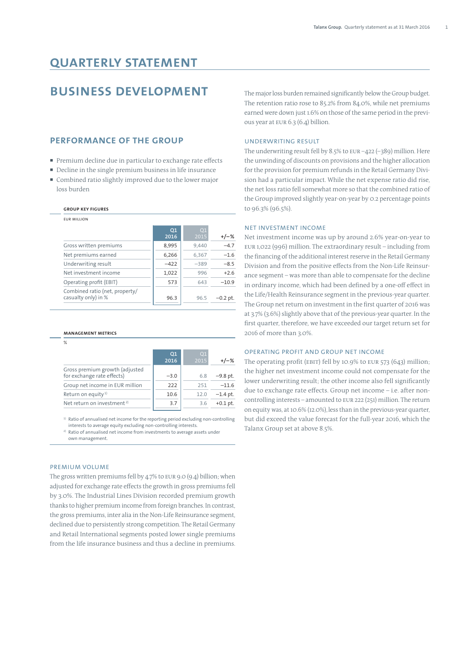# **QUARTERLY STATEMENT**

# **BUSINESS DEVELOPMENT**

# **PERFORMANCE OF THE GROUP**

- Premium decline due in particular to exchange rate effects
- ¡ Decline in the single premium business in life insurance
- ¡ Combined ratio slightly improved due to the lower major loss burden

# **GROUP KEY FIGURES**

EUR MILLION

|                                                       | Q1<br>2016 | O <sub>1</sub><br>2015 | +/-%       |
|-------------------------------------------------------|------------|------------------------|------------|
| Gross written premiums                                | 8,995      | 9,440                  | $-4.7$     |
| Net premiums earned                                   | 6,266      | 6,367                  | $-1.6$     |
| Underwriting result                                   | $-422$     | $-389$                 | $-8.5$     |
| Net investment income                                 | 1,022      | 996                    | $+2.6$     |
| Operating profit (EBIT)                               | 573        | 643                    | $-10.9$    |
| Combined ratio (net, property/<br>casualty only) in % | 96.3       | 96.5                   | $-0.2$ pt. |

#### **MANAGEMENT METRICS**

%

|                                                              | O <sub>1</sub><br>2016 | O <sub>1</sub><br>2015 | $+/-%$     |
|--------------------------------------------------------------|------------------------|------------------------|------------|
| Gross premium growth (adjusted<br>for exchange rate effects) | $-3.0$                 | 6.8                    | $-9.8$ pt. |
| Group net income in EUR million                              | 222                    | 251                    | $-116$     |
| Return on equity <sup>1)</sup>                               | 10.6                   | 12.0                   | $-1.4$ pt. |
| Net return on investment <sup>2)</sup>                       | 3.7                    | 3.6                    | $+0.1$ pt. |

<sup>1)</sup> Ratio of annualised net income for the reporting period excluding non-controlling interests to average equity excluding non-controlling interests.

2) Ratio of annualised net income from investments to average assets under own management.

## PREMIUM VOLUME

The gross written premiums fell by 4.7% to EUR 9.0 (9.4) billion; when adjusted for exchange rate effects the growth in gross premiums fell by 3.0%. The Industrial Lines Division recorded premium growth thanks to higher premium income from foreign branches. In contrast, the gross premiums, inter alia in the Non-Life Reinsurance segment, declined due to persistently strong competition. The Retail Germany and Retail International segments posted lower single premiums from the life insurance business and thus a decline in premiums.

The major loss burden remained significantly below the Group budget. The retention ratio rose to 85.2% from 84.0%, while net premiums earned were down just 1.6% on those of the same period in the previous year at EUR 6.3 (6.4) billion.

## UNDERWRITING RESULT

The underwriting result fell by 8.5% to EUR –422 (–389) million. Here the unwinding of discounts on provisions and the higher allocation for the provision for premium refunds in the Retail Germany Division had a particular impact. While the net expense ratio did rise, the net loss ratio fell somewhat more so that the combined ratio of the Group improved slightly year-on-year by 0.2 percentage points to 96.3% (96.5%).

## NET INVESTMENT INCOME

Net investment income was up by around 2.6% year-on-year to EUR 1,022 (996) million. The extraordinary result – including from the financing of the additional interest reserve in the Retail Germany Division and from the positive effects from the Non-Life Reinsurance segment – was more than able to compensate for the decline in ordinary income, which had been defined by a one-off effect in the Life/Health Reinsurance segment in the previous-year quarter. The Group net return on investment in the first quarter of 2016 was at 3.7% (3.6%) slightly above that of the previous-year quarter. In the first quarter, therefore, we have exceeded our target return set for 2016 of more than 3.0%.

## OPERATING PROFIT AND GROUP NET INCOME

The operating profit (EBIT) fell by 10.9% to EUR 573 (643) million; the higher net investment income could not compensate for the lower underwriting result; the other income also fell significantly due to exchange rate effects. Group net income – i.e. after noncontrolling interests – amounted to EUR 222 (251) million. The return on equity was, at 10.6% (12.0%), less than in the previous-year quarter, but did exceed the value forecast for the full-year 2016, which the Talanx Group set at above 8.5%.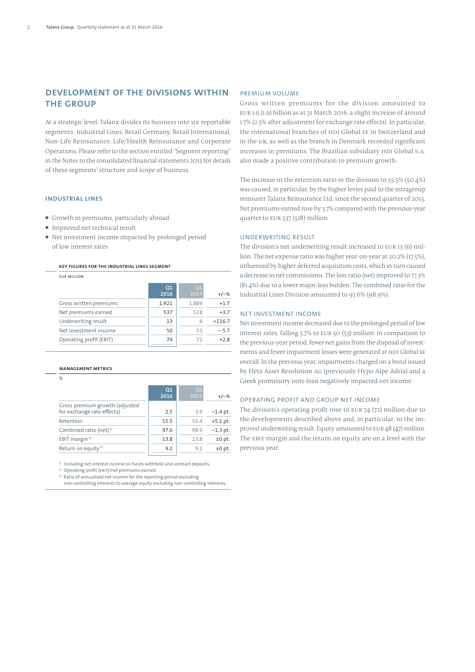# **DEVELOPMENT OF THE DIVISIONS WITHIN THE GROUP**

At a strategic level, Talanx divides its business into six reportable segments: Industrial Lines, Retail Germany, Retail International, Non-Life Reinsurance, Life/Health Reinsurance and Corporate Operations. Please refer to the section entitled "Segment reporting" in the Notes to the consolidated financial statements 2015 for details of these segments' structure and scope of business.

## **INDUSTRIAL LINES**

- ¡ Growth in premiums, particularly abroad
- Improved net technical result
- ¡ Net investment income impacted by prolonged period of low interest rates

## **KEY FIGURES FOR THE INDUSTRIAL LINES SEGMENT**

EUR MILLION

|                         | Q1<br>2016 | O1<br>2015 | $+/-%$   |
|-------------------------|------------|------------|----------|
| Gross written premiums  | 1,921      | 1,889      | $+1.7$   |
| Net premiums earned     | 537        | 518        | $+3.7$   |
| Underwriting result     | 13         |            | $+116.7$ |
| Net investment income   | 50         | 53         | $-5.7$   |
| Operating profit (EBIT) | 74         | 72         | $+28$    |

#### **MANAGEMENT METRICS**

 $\mathfrak{o}_\mathcal{L}$ 

|                                                              | Q1<br>2016 | O <sub>1</sub><br>2015 | $+/-%$     |
|--------------------------------------------------------------|------------|------------------------|------------|
| Gross premium growth (adjusted<br>for exchange rate effects) | 2.5        | 3.9                    | $-1.4$ pt. |
| Retention                                                    | 55.5       | 50.4                   | $+5.1$ pt. |
| Combined ratio (net) $1$ )                                   | 97.6       | 98.9                   | $-1.3$ pt. |
| EBIT margin <sup>2)</sup>                                    | 13.8       | 13.8                   | $±0$ pt.   |
| Return on equity <sup>3)</sup>                               | 9.2        | 9.2                    | $±0$ pt.   |

<sup>1)</sup> Including net interest income on funds withheld and contract deposits.

<sup>2)</sup> Operating profit (EBIT)/net premiums earned

<sup>3)</sup> Ratio of annualised net income for the reporting period excluding

non-controlling interests to average equity excluding non-controlling interests.

## PREMIUM VOLUME

Gross written premiums for the division amounted to EUR 1.9 (1.9) billion as at 31 March 2016, a slight increase of around 1.7% (2.5% after adjustment for exchange rate effects). In particular, the international branches of HDI Global SE in Switzerland and in the UK, as well as the branch in Denmark recorded significant increases in premiums. The Brazilian subsidiary HDI Global S. A. also made a positive contribution to premium growth.

The increase in the retention ratio in the division to 55.5% (50.4%) was caused, in particular, by the higher levies paid to the intragroup reinsurer Talanx Reinsurance Ltd. since the second quarter of 2015. Net premiums earned rose by 3.7% compared with the previous-year quarter to EUR 537 (518) million.

## UNDERWRITING RESULT

The division's net underwriting result increased to EUR 13 (6) million. The net expense ratio was higher year-on-year at 20.2% (17.5%), influenced by higher deferred acquisition costs, which in turn caused a decrease in net commissions. The loss ratio (net) improved to 77.3% (81.4%) due to a lower major-loss burden. The combined ratio for the Industrial Lines Division amounted to 97.6% (98.9%).

## NET INVESTMENT INCOME

Net investment income decreased due to the prolonged period of low interest rates, falling 5.7% to EUR 50 (53) million. In comparison to the previous-year period, fewer net gains from the disposal of investments and fewer impairment losses were generated at HDI Global SE overall. In the previous year, impairments charged on a bond issued by Heta Asset Resolution AG (previously Hypo Alpe Adria) and a Greek promissory note loan negatively impacted net income.

## OPERATING PROFIT AND GROUP NET INCOME

The division's operating profit rose to EUR  $74$  (72) million due to the developments described above and, in particular, to the improved underwriting result. Equity amounted to EUR 48 (47) million. The EBIT margin and the return on equity are on a level with the previous year.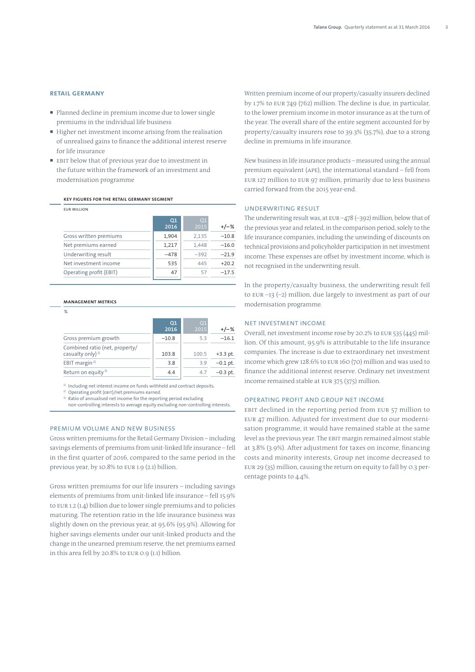## **RETAIL GERMANY**

- ¡ Planned decline in premium income due to lower single premiums in the individual life business
- ¡ Higher net investment income arising from the realisation of unrealised gains to finance the additional interest reserve for life insurance
- **EBIT below that of previous year due to investment in** the future within the framework of an investment and modernisation programme

## **KEY FIGURES FOR THE RETAIL GERMANY SEGMENT**

| <b>FUR MILLION</b>      |            |                        |         |
|-------------------------|------------|------------------------|---------|
|                         | Q1<br>2016 | O <sub>1</sub><br>2015 | $+/-%$  |
| Gross written premiums  | 1,904      | 2,135                  | $-10.8$ |
| Net premiums earned     | 1,217      | 1,448                  | $-16.0$ |
| Underwriting result     | $-478$     | $-392$                 | $-21.9$ |
| Net investment income   | 535        | 445                    | $+20.2$ |
| Operating profit (EBIT) | 47         | 57                     | $-17.5$ |

## **MANAGEMENT METRICS**

 $\alpha$ 

|                                                                | Q <sub>1</sub><br>2016 | O1<br>2015 | $+/-%$     |
|----------------------------------------------------------------|------------------------|------------|------------|
| Gross premium growth                                           | $-10.8$                | 5.3        | $-16.1$    |
| Combined ratio (net, property/<br>casualty only) <sup>1)</sup> | 103.8                  | 100.5      | $+3.3$ pt. |
| EBIT margin <sup>2)</sup>                                      | 3.8                    | 3.9        | $-0.1$ pt. |
| Return on equity <sup>3)</sup>                                 | 4.4                    | 4.7        | $-0.3$ pt. |
|                                                                |                        |            |            |

<sup>1)</sup> Including net interest income on funds withheld and contract deposits.

<sup>2)</sup> Operating profit (EBIT)/net premiums earned

<sup>3)</sup> Ratio of annualised net income for the reporting period excluding non-controlling interests to average equity excluding non-controlling interests.

PREMIUM VOLUME AND NEW BUSINESS

Gross written premiums for the Retail Germany Division – including savings elements of premiums from unit-linked life insurance – fell in the first quarter of 2016, compared to the same period in the previous year, by 10.8% to EUR 1.9 (2.1) billion.

Gross written premiums for our life insurers – including savings elements of premiums from unit-linked life insurance – fell 15.9% to EUR 1.2 (1.4) billion due to lower single premiums and to policies maturing. The retention ratio in the life insurance business was slightly down on the previous year, at 95.6% (95.9%). Allowing for higher savings elements under our unit-linked products and the change in the unearned premium reserve, the net premiums earned in this area fell by 20.8% to EUR 0.9 (1.1) billion.

Written premium income of our property/casualty insurers declined by 1.7% to EUR 749 (762) million. The decline is due, in particular, to the lower premium income in motor insurance as at the turn of the year. The overall share of the entire segment accounted for by property/casualty insurers rose to 39.3% (35.7%), due to a strong decline in premiums in life insurance.

New business in life insurance products – measured using the annual premium equivalent (APE), the international standard – fell from EUR 127 million to EUR 97 million, primarily due to less business carried forward from the 2015 year-end.

## UNDERWRITING RESULT

The underwriting result was, at EUR –478 (–392) million, below that of the previous year and related, in the comparison period, solely to the life insurance companies, including the unwinding of discounts on technical provisions and policyholder participation in net investment income. These expenses are offset by investment income, which is not recognised in the underwriting result.

In the property/casualty business, the underwriting result fell to EUR –13 (–2) million, due largely to investment as part of our modernisation programme.

## NET INVESTMENT INCOME

Overall, net investment income rose by 20.2% to EUR 535 (445) million. Of this amount, 95.9% is attributable to the life insurance companies. The increase is due to extraordinary net investment income which grew 128.6% to EUR 160 (70) million and was used to finance the additional interest reserve. Ordinary net investment income remained stable at EUR 375 (375) million.

## OPERATING PROFIT AND GROUP NET INCOME

EBIT declined in the reporting period from EUR 57 million to EUR 47 million. Adjusted for investment due to our modernisation programme, it would have remained stable at the same level as the previous year. The EBIT margin remained almost stable at 3.8% (3.9%). After adjustment for taxes on income, financing costs and minority interests, Group net income decreased to EUR 29 (35) million, causing the return on equity to fall by 0.3 percentage points to 4.4%.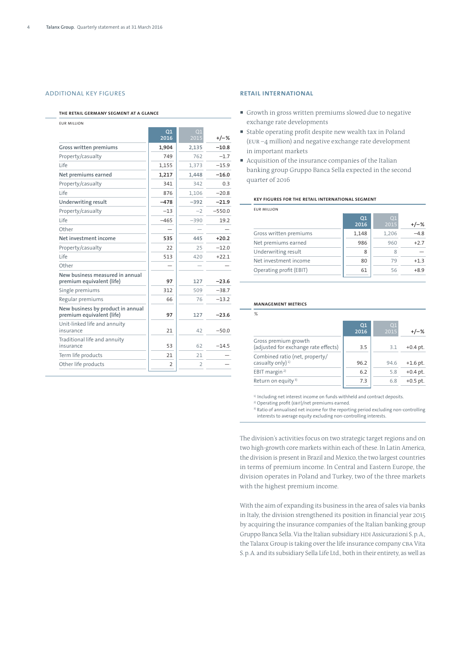## ADDITIONAL KEY FIGURES

#### **THE RETAIL GERMANY SEGMENT AT A GLANCE**

EUR MILLION

| 2016<br>2015<br>$+/-%$<br>Gross written premiums<br>1,904<br>2,135<br>$-10.8$<br>Property/casualty<br>749<br>762<br>$-1.7$<br>Life<br>1,155<br>1,373<br>$-15.9$<br>Net premiums earned<br>1,448<br>$-16.0$<br>1,217<br>Property/casualty<br>342<br>341<br>0.3<br>Life<br>1,106<br>876<br>$-20.8$<br><b>Underwriting result</b><br>$-392$<br>$-478$<br>$-21.9$<br>Property/casualty<br>$-13$<br>$-2$<br>$-550.0$<br>Life<br>$-390$<br>$-465$<br>19.2<br>Other<br>Net investment income<br>445<br>$+20.2$<br>535<br>Property/casualty<br>22<br>25<br>$-12.0$<br>Life<br>513<br>420<br>$+22.1$<br>Other<br>New business measured in annual<br>premium equivalent (life)<br>127<br>97<br>$-23.6$<br>Single premiums<br>312<br>509<br>$-38.7$<br>Regular premiums<br>66<br>76<br>$-13.2$<br>New business by product in annual<br>premium equivalent (life)<br>97<br>127<br>$-23.6$<br>Unit-linked life and annuity<br>21<br>42<br>$-50.0$<br>insurance<br>Traditional life and annuity<br>53<br>62<br>$-14.5$<br>insurance<br>Term life products<br>21<br>21<br>Other life products<br>$\overline{2}$<br>$\overline{2}$ | 01 | O <sub>1</sub> |  |
|--------------------------------------------------------------------------------------------------------------------------------------------------------------------------------------------------------------------------------------------------------------------------------------------------------------------------------------------------------------------------------------------------------------------------------------------------------------------------------------------------------------------------------------------------------------------------------------------------------------------------------------------------------------------------------------------------------------------------------------------------------------------------------------------------------------------------------------------------------------------------------------------------------------------------------------------------------------------------------------------------------------------------------------------------------------------------------------------------------------------|----|----------------|--|
|                                                                                                                                                                                                                                                                                                                                                                                                                                                                                                                                                                                                                                                                                                                                                                                                                                                                                                                                                                                                                                                                                                                    |    |                |  |
|                                                                                                                                                                                                                                                                                                                                                                                                                                                                                                                                                                                                                                                                                                                                                                                                                                                                                                                                                                                                                                                                                                                    |    |                |  |
|                                                                                                                                                                                                                                                                                                                                                                                                                                                                                                                                                                                                                                                                                                                                                                                                                                                                                                                                                                                                                                                                                                                    |    |                |  |
|                                                                                                                                                                                                                                                                                                                                                                                                                                                                                                                                                                                                                                                                                                                                                                                                                                                                                                                                                                                                                                                                                                                    |    |                |  |
|                                                                                                                                                                                                                                                                                                                                                                                                                                                                                                                                                                                                                                                                                                                                                                                                                                                                                                                                                                                                                                                                                                                    |    |                |  |
|                                                                                                                                                                                                                                                                                                                                                                                                                                                                                                                                                                                                                                                                                                                                                                                                                                                                                                                                                                                                                                                                                                                    |    |                |  |
|                                                                                                                                                                                                                                                                                                                                                                                                                                                                                                                                                                                                                                                                                                                                                                                                                                                                                                                                                                                                                                                                                                                    |    |                |  |
|                                                                                                                                                                                                                                                                                                                                                                                                                                                                                                                                                                                                                                                                                                                                                                                                                                                                                                                                                                                                                                                                                                                    |    |                |  |
|                                                                                                                                                                                                                                                                                                                                                                                                                                                                                                                                                                                                                                                                                                                                                                                                                                                                                                                                                                                                                                                                                                                    |    |                |  |
|                                                                                                                                                                                                                                                                                                                                                                                                                                                                                                                                                                                                                                                                                                                                                                                                                                                                                                                                                                                                                                                                                                                    |    |                |  |
|                                                                                                                                                                                                                                                                                                                                                                                                                                                                                                                                                                                                                                                                                                                                                                                                                                                                                                                                                                                                                                                                                                                    |    |                |  |
|                                                                                                                                                                                                                                                                                                                                                                                                                                                                                                                                                                                                                                                                                                                                                                                                                                                                                                                                                                                                                                                                                                                    |    |                |  |
|                                                                                                                                                                                                                                                                                                                                                                                                                                                                                                                                                                                                                                                                                                                                                                                                                                                                                                                                                                                                                                                                                                                    |    |                |  |
|                                                                                                                                                                                                                                                                                                                                                                                                                                                                                                                                                                                                                                                                                                                                                                                                                                                                                                                                                                                                                                                                                                                    |    |                |  |
|                                                                                                                                                                                                                                                                                                                                                                                                                                                                                                                                                                                                                                                                                                                                                                                                                                                                                                                                                                                                                                                                                                                    |    |                |  |
|                                                                                                                                                                                                                                                                                                                                                                                                                                                                                                                                                                                                                                                                                                                                                                                                                                                                                                                                                                                                                                                                                                                    |    |                |  |
|                                                                                                                                                                                                                                                                                                                                                                                                                                                                                                                                                                                                                                                                                                                                                                                                                                                                                                                                                                                                                                                                                                                    |    |                |  |
|                                                                                                                                                                                                                                                                                                                                                                                                                                                                                                                                                                                                                                                                                                                                                                                                                                                                                                                                                                                                                                                                                                                    |    |                |  |
|                                                                                                                                                                                                                                                                                                                                                                                                                                                                                                                                                                                                                                                                                                                                                                                                                                                                                                                                                                                                                                                                                                                    |    |                |  |
|                                                                                                                                                                                                                                                                                                                                                                                                                                                                                                                                                                                                                                                                                                                                                                                                                                                                                                                                                                                                                                                                                                                    |    |                |  |
|                                                                                                                                                                                                                                                                                                                                                                                                                                                                                                                                                                                                                                                                                                                                                                                                                                                                                                                                                                                                                                                                                                                    |    |                |  |
|                                                                                                                                                                                                                                                                                                                                                                                                                                                                                                                                                                                                                                                                                                                                                                                                                                                                                                                                                                                                                                                                                                                    |    |                |  |
|                                                                                                                                                                                                                                                                                                                                                                                                                                                                                                                                                                                                                                                                                                                                                                                                                                                                                                                                                                                                                                                                                                                    |    |                |  |

## **RETAIL INTERNATIONAL**

- ¡ Growth in gross written premiums slowed due to negative exchange rate developments
- ¡ Stable operating profi t despite new wealth tax in Poland (EUR –4 million) and negative exchange rate development in important markets
- ¡ Acquisition of the insurance companies of the Italian banking group Gruppo Banca Sella expected in the second quarter of 2016

#### **KEY FIGURES FOR THE RETAIL INTERNATIONAL SEGMENT**

| FUR MILLION             |                        |                        |        |
|-------------------------|------------------------|------------------------|--------|
|                         | O <sub>1</sub><br>2016 | O <sub>1</sub><br>2015 | $+/-%$ |
| Gross written premiums  | 1,148                  | 1.206                  | $-4.8$ |
| Net premiums earned     | 986                    | 960                    | $+2.7$ |
| Underwriting result     | 8                      | 8                      |        |
| Net investment income   | 80                     | 79                     | $+1.3$ |
| Operating profit (EBIT) | 61                     | 56                     | $+8.9$ |

#### **MANAGEMENT METRICS**

| %                                                              |                        |                        |            |
|----------------------------------------------------------------|------------------------|------------------------|------------|
|                                                                | O <sub>1</sub><br>2016 | O <sub>1</sub><br>2015 | $+/-%$     |
| Gross premium growth<br>(adjusted for exchange rate effects)   | 3.5                    | 3.1                    | $+0.4$ pt. |
| Combined ratio (net, property/<br>casualty only) <sup>1)</sup> | 96.2                   | 94.6                   | $+1.6$ pt. |
| EBIT margin <sup>2)</sup>                                      | 6.2                    | 5.8                    | $+0.4$ pt. |
| Return on equity <sup>3)</sup>                                 | 7.3                    | 6.8                    | $+0.5$ pt. |
|                                                                |                        |                        |            |

<sup>1)</sup> Including net interest income on funds withheld and contract deposits.

<sup>2)</sup> Operating profit (EBIT)/net premiums earned.

3) Ratio of annualised net income for the reporting period excluding non-controlling interests to average equity excluding non-controlling interests.

The division's activities focus on two strategic target regions and on two high-growth core markets within each of these. In Latin America, the division is present in Brazil and Mexico, the two largest countries in terms of premium income. In Central and Eastern Europe, the division operates in Poland and Turkey, two of the three markets with the highest premium income.

With the aim of expanding its business in the area of sales via banks in Italy, the division strengthened its position in financial year 2015 by acquiring the insurance companies of the Italian banking group Gruppo Banca Sella. Via the Italian subsidiary HDI Assicurazioni S. p. A., the Talanx Group is taking over the life insurance company CBA Vita S. p. A. and its subsidiary Sella Life Ltd., both in their entirety, as well as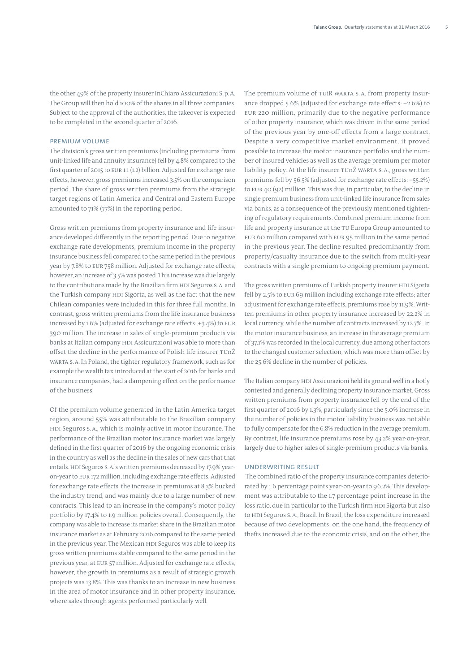the other 49% of the property insurer InChiaro Assicurazioni S. p. A. The Group will then hold 100% of the shares in all three companies. Subject to the approval of the authorities, the takeover is expected to be completed in the second quarter of 2016.

## PREMIUM VOLUME

The division's gross written premiums (including premiums from unit-linked life and annuity insurance) fell by 4.8% compared to the first quarter of 2015 to EUR 1.1 (1.2) billion. Adjusted for exchange rate effects, however, gross premiums increased 3.5% on the comparison period. The share of gross written premiums from the strategic target regions of Latin America and Central and Eastern Europe amounted to 71% (77%) in the reporting period.

Gross written premiums from property insurance and life insurance developed differently in the reporting period. Due to negative exchange rate developments, premium income in the property insurance business fell compared to the same period in the previous year by 7.8% to EUR 758 million. Adjusted for exchange rate effects, however, an increase of 3.5% was posted. This increase was due largely to the contributions made by the Brazilian firm HDI Seguros s. A. and the Turkish company HDI Sigorta, as well as the fact that the new Chilean companies were included in this for three full months. In contrast, gross written premiums from the life insurance business increased by 1.6% (adjusted for exchange rate effects: +3.4%) to EUR 390 million. The increase in sales of single-premium products via banks at Italian company HDI Assicurazioni was able to more than off set the decline in the performance of Polish life insurer TUnŻ WARTA S. A. In Poland, the tighter regulatory framework, such as for example the wealth tax introduced at the start of 2016 for banks and insurance companies, had a dampening effect on the performance of the business.

Of the premium volume generated in the Latin America target region, around 55% was attributable to the Brazilian company HDI Seguros S. A., which is mainly active in motor insurance. The performance of the Brazilian motor insurance market was largely defined in the first quarter of 2016 by the ongoing economic crisis in the country as well as the decline in the sales of new cars that that entails. HDI Seguros S. A.'s written premiums decreased by 17.9% yearon-year to EUR 172 million, including exchange rate effects. Adjusted for exchange rate effects, the increase in premiums at 8.3% bucked the industry trend, and was mainly due to a large number of new contracts. This lead to an increase in the company's motor policy portfolio by 17.4% to 1.9 million policies overall. Consequently, the company was able to increase its market share in the Brazilian motor insurance market as at February 2016 compared to the same period in the previous year. The Mexican HDI Seguros was able to keep its gross written premiums stable compared to the same period in the previous year, at EUR 57 million. Adjusted for exchange rate effects, however, the growth in premiums as a result of strategic growth projects was 13.8%. This was thanks to an increase in new business in the area of motor insurance and in other property insurance, where sales through agents performed particularly well.

The premium volume of TUiR WARTA S. A. from property insurance dropped 5.6% (adjusted for exchange rate effects:  $-2.6%$ ) to EUR 220 million, primarily due to the negative performance of other property insurance, which was driven in the same period of the previous year by one-off effects from a large contract. Despite a very competitive market environment, it proved possible to increase the motor insurance portfolio and the number of insured vehicles as well as the average premium per motor liability policy. At the life insurer TUnŻ WARTA S. A., gross written premiums fell by 56.5% (adjusted for exchange rate effects: -55.2%) to EUR 40 (92) million. This was due, in particular, to the decline in single premium business from unit-linked life insurance from sales via banks, as a consequence of the previously mentioned tightening of regulatory requirements. Combined premium income from life and property insurance at the TU Europa Group amounted to EUR 60 million compared with EUR 95 million in the same period in the previous year. The decline resulted predominantly from property/casualty insurance due to the switch from multi-year contracts with a single premium to ongoing premium payment.

The gross written premiums of Turkish property insurer HDI Sigorta fell by 2.5% to EUR 69 million including exchange rate effects; after adjustment for exchange rate effects, premiums rose by 11.9%. Written premiums in other property insurance increased by 22.2% in local currency, while the number of contracts increased by 12.7%. In the motor insurance business, an increase in the average premium of 37.1% was recorded in the local currency, due among other factors to the changed customer selection, which was more than offset by the 25.6% decline in the number of policies.

The Italian company HDI Assicurazioni held its ground well in a hotly contested and generally declining property insurance market. Gross written premiums from property insurance fell by the end of the first quarter of 2016 by 1.3%, particularly since the 5.0% increase in the number of policies in the motor liability business was not able to fully compensate for the 6.8% reduction in the average premium. By contrast, life insurance premiums rose by 43.2% year-on-year, largely due to higher sales of single-premium products via banks.

## UNDERWRITING RESULT

 The combined ratio of the property insurance companies deteriorated by 1.6 percentage points year-on-year to 96.2%. This development was attributable to the 1.7 percentage point increase in the loss ratio, due in particular to the Turkish firm HDI Sigorta but also to HDI Seguros S. A., Brazil. In Brazil, the loss expenditure increased because of two developments: on the one hand, the frequency of thefts increased due to the economic crisis, and on the other, the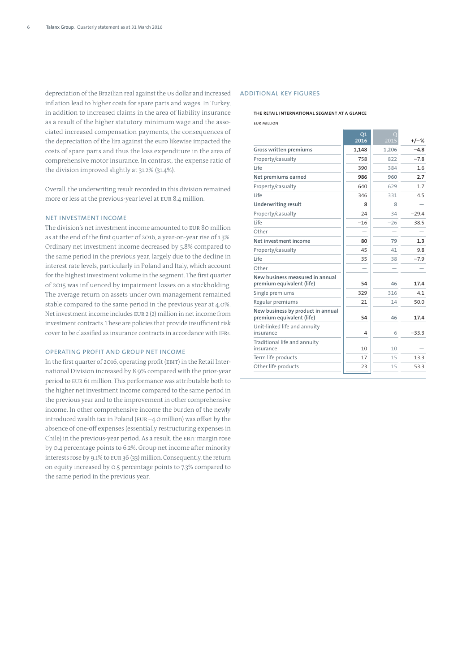depreciation of the Brazilian real against the US dollar and increased inflation lead to higher costs for spare parts and wages. In Turkey, in addition to increased claims in the area of liability insurance as a result of the higher statutory minimum wage and the associated increased compensation payments, the consequences of the depreciation of the lira against the euro likewise impacted the costs of spare parts and thus the loss expenditure in the area of comprehensive motor insurance. In contrast, the expense ratio of the division improved slightly at 31.2% (31.4%).

Overall, the underwriting result recorded in this division remained more or less at the previous-year level at EUR 8.4 million.

## NET INVESTMENT INCOME

The division's net investment income amounted to EUR 80 million as at the end of the first quarter of 2016, a year-on-year rise of 1.3%. Ordinary net investment income decreased by 5.8% compared to the same period in the previous year, largely due to the decline in interest rate levels, particularly in Poland and Italy, which account for the highest investment volume in the segment. The first quarter of 2015 was influenced by impairment losses on a stockholding. The average return on assets under own management remained stable compared to the same period in the previous year at 4.0%. Net investment income includes EUR 2 (2) million in net income from investment contracts. These are policies that provide insufficient risk cover to be classified as insurance contracts in accordance with IFRs.

## OPERATING PROFIT AND GROUP NET INCOME

In the first quarter of 2016, operating profit (EBIT) in the Retail International Division increased by 8.9% compared with the prior-year period to EUR 61 million. This performance was attributable both to the higher net investment income compared to the same period in the previous year and to the improvement in other comprehensive income. In other comprehensive income the burden of the newly introduced wealth tax in Poland ( $EUR - 4.0$  million) was offset by the absence of one-off expenses (essentially restructuring expenses in Chile) in the previous-year period. As a result, the EBIT margin rose by 0.4 percentage points to 6.2%. Group net income after minority interests rose by 9.1% to EUR 36 (33) million. Consequently, the return on equity increased by 0.5 percentage points to 7.3% compared to the same period in the previous year.

## ADDITIONAL KEY FIGURES

## **THE RETAIL INTERNATIONAL SEGMENT AT A GLANCE**

EUR MILLION

|                                                                | Q <sub>1</sub><br>2016 | 2015  | $+/-%$  |
|----------------------------------------------------------------|------------------------|-------|---------|
| Gross written premiums                                         | 1,148                  | 1,206 | $-4.8$  |
| Property/casualty                                              | 758                    | 822   | $-7.8$  |
| Life                                                           | 390                    | 384   | 1.6     |
| Net premiums earned                                            | 986                    | 960   | 2.7     |
| Property/casualty                                              | 640                    | 629   | 1.7     |
| Life                                                           | 346                    | 331   | 4.5     |
| <b>Underwriting result</b>                                     | 8                      | 8     |         |
| Property/casualty                                              | 24                     | 34    | $-29.4$ |
| Life                                                           | $-16$                  | $-26$ | 38.5    |
| Other                                                          |                        |       |         |
| Net investment income                                          | 80                     | 79    | 1.3     |
| Property/casualty                                              | 45                     | 41    | 9.8     |
| Life                                                           | 35                     | 38    | $-7.9$  |
| Other                                                          |                        |       |         |
| New business measured in annual<br>premium equivalent (life)   | 54                     | 46    | 17.4    |
| Single premiums                                                | 329                    | 316   | 4.1     |
| Regular premiums                                               | 21                     | 14    | 50.0    |
| New business by product in annual<br>premium equivalent (life) | 54                     | 46    | 17.4    |
| Unit-linked life and annuity<br>insurance                      | 4                      | 6     | $-33.3$ |
| Traditional life and annuity<br>insurance                      | 10                     | 10    |         |
| Term life products                                             | 17                     | 15    | 13.3    |
| Other life products                                            | 23                     | 15    | 53.3    |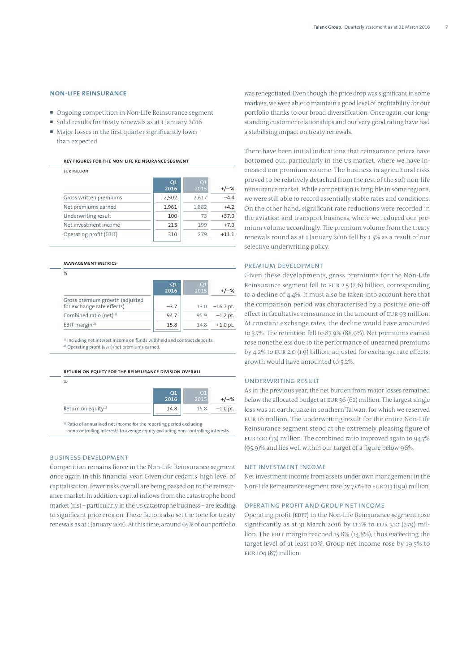## **NON-LIFE REINSURANCE**

- ¡ Ongoing competition in Non-Life Reinsurance segment
- ¡ Solid results for treaty renewals as at 1 January 2016
- $\blacksquare$  Major losses in the first quarter significantly lower
- than expected

**KEY FIGURES FOR THE NON-LIFE REINSURANCE SEGMENT**

| <b>FUR MILLION</b>      |                        |                        |         |
|-------------------------|------------------------|------------------------|---------|
|                         | O <sub>1</sub><br>2016 | O <sub>1</sub><br>2015 | $+/-%$  |
| Gross written premiums  | 2,502                  | 2,617                  | $-4.4$  |
| Net premiums earned     | 1,961                  | 1,882                  | $+4.2$  |
| Underwriting result     | 100                    | 73                     | $+37.0$ |
| Net investment income   | 213                    | 199                    | $+7.0$  |
| Operating profit (EBIT) | 310                    | 279                    | $+11.1$ |

#### **MANAGEMENT METRICS**

| ×.<br>٠ |  |
|---------|--|

| Q1<br>2016 | O <sub>1</sub><br>2015 | $+/-%$            |
|------------|------------------------|-------------------|
| $-3.7$     |                        | $13.0 - 16.7$ pt. |
| 94.7       | 95.9                   | $-1.2$ pt.        |
| 15.8       | 14.8                   | $+1.0$ pt.        |
|            |                        |                   |

<sup>1)</sup> Including net interest income on funds withheld and contract deposits. <sup>2)</sup> Operating profit (EBIT)/net premiums earned.

**RETURN ON EQUITY FOR THE REINSURANCE DIVISION OVERALL**

| %                              |            |                           |            |
|--------------------------------|------------|---------------------------|------------|
|                                | Q1<br>2016 | $\bigcap_{i=1}^n$<br>201' | +/-%       |
| Return on equity <sup>1)</sup> | 14.8       | 15.8                      | $-1.0$ pt. |

<sup>1)</sup> Ratio of annualised net income for the reporting period excluding non-controlling interests to average equity excluding non-controlling interests.

## BUSINESS DEVELOPMENT

Competition remains fierce in the Non-Life Reinsurance segment once again in this financial year. Given our cedants' high level of capitalisation, fewer risks overall are being passed on to the reinsurance market. In addition, capital inflows from the catastrophe bond market (ILS) – particularly in the US catastrophe business – are leading to significant price erosion. These factors also set the tone for treaty renewals as at 1 January 2016. At this time, around 65% of our portfolio was renegotiated. Even though the price drop was significant in some markets, we were able to maintain a good level of profitability for our portfolio thanks to our broad diversification. Once again, our longstanding customer relationships and our very good rating have had a stabilising impact on treaty renewals.

There have been initial indications that reinsurance prices have bottomed out, particularly in the US market, where we have increased our premium volume. The business in agricultural risks proved to be relatively detached from the rest of the soft non-life reinsurance market. While competition is tangible in some regions, we were still able to record essentially stable rates and conditions. On the other hand, significant rate reductions were recorded in the aviation and transport business, where we reduced our premium volume accordingly. The premium volume from the treaty renewals round as at 1 January 2016 fell by 1.5% as a result of our selective underwriting policy.

## PREMIUM DEVELOPMENT

Given these developments, gross premiums for the Non-Life Reinsurance segment fell to EUR 2.5 (2.6) billion, corresponding to a decline of 4.4%. It must also be taken into account here that the comparison period was characterised by a positive one-off effect in facultative reinsurance in the amount of EUR 93 million. At constant exchange rates, the decline would have amounted to 3.7%. The retention fell to 87.9% (88.9%). Net premiums earned rose nonetheless due to the performance of unearned premiums by 4.2% to EUR 2.0 (1.9) billion; adjusted for exchange rate effects, growth would have amounted to 5.2%.

## UNDERWRITING RESULT

As in the previous year, the net burden from major losses remained below the allocated budget at EUR 56 (62) million. The largest single loss was an earthquake in southern Taiwan, for which we reserved EUR 16 million. The underwriting result for the entire Non-Life Reinsurance segment stood at the extremely pleasing figure of EUR 100 (73) million. The combined ratio improved again to 94.7%  $(95.9)$ % and lies well within our target of a figure below 96%.

## NET INVESTMENT INCOME

Net investment income from assets under own management in the Non-Life Reinsurance segment rose by 7.0% to EUR 213 (199) million.

## OPERATING PROFIT AND GROUP NET INCOME

Operating profit (EBIT) in the Non-Life Reinsurance segment rose significantly as at 31 March 2016 by 11.1% to EUR 310 (279) million. The EBIT margin reached 15.8% (14.8%), thus exceeding the target level of at least 10%. Group net income rose by 19,5% to EUR 104 (87) million.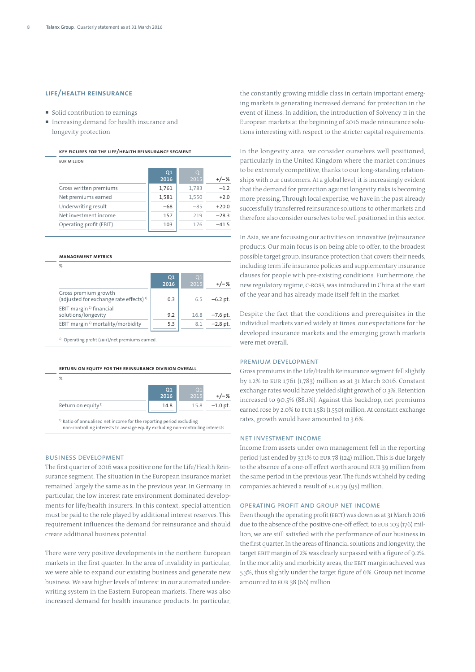## **LIFE/HEALTH REINSURANCE**

- Solid contribution to earnings
- ¡ Increasing demand for health insurance and longevity protection

**KEY FIGURES FOR THE LIFE/HEALTH REINSURANCE SEGMENT**

| <b>EUR MILLION</b>      |            |                        |         |
|-------------------------|------------|------------------------|---------|
|                         | Q1<br>2016 | O <sub>1</sub><br>2015 | $+/-%$  |
| Gross written premiums  | 1,761      | 1,783                  | $-1.2$  |
| Net premiums earned     | 1,581      | 1,550                  | $+2.0$  |
| Underwriting result     | $-68$      | $-85$                  | $+20.0$ |
| Net investment income   | 157        | 219                    | $-28.3$ |
| Operating profit (EBIT) | 103        | 176                    | -41 5   |

| <b>MANAGEMENT METRICS</b>                                                  |            |                        |            |
|----------------------------------------------------------------------------|------------|------------------------|------------|
| ℅                                                                          |            |                        |            |
|                                                                            | Q1<br>2016 | O <sub>1</sub><br>2015 | $+/-%$     |
| Gross premium growth<br>(adjusted for exchange rate effects) <sup>1)</sup> | 0.3        | 6.5                    | $-6.2$ pt. |
| EBIT margin <sup>1</sup> financial<br>solutions/longevity                  | 9.2        | 16.8                   | $-7.6$ pt. |
| EBIT margin <sup>1)</sup> mortality/morbidity                              | 5.3        | 8.1                    | $-2.8$ pt. |

1) Operating profit (EBIT)/net premiums earned.

| RETURN ON EQUITY FOR THE REINSURANCE DIVISION OVERALL |                        |                    |            |  |
|-------------------------------------------------------|------------------------|--------------------|------------|--|
| %                                                     |                        |                    |            |  |
|                                                       | O <sub>1</sub><br>2016 | $\Omega$ 1<br>2015 | -%         |  |
| Return on equity <sup>1)</sup>                        | 14.8                   | 15.8               | $-1.0$ pt. |  |

<sup>1)</sup> Ratio of annualised net income for the reporting period excluding non-controlling interests to average equity excluding non-controlling interests.

## BUSINESS DEVELOPMENT

The first quarter of 2016 was a positive one for the Life/Health Reinsurance segment. The situation in the European insurance market remained largely the same as in the previous year. In Germany, in particular, the low interest rate environment dominated developments for life/health insurers. In this context, special attention must be paid to the role played by additional interest reserves. This requirement influences the demand for reinsurance and should create additional business potential.

There were very positive developments in the northern European markets in the first quarter. In the area of invalidity in particular, we were able to expand our existing business and generate new business. We saw higher levels of interest in our automated underwriting system in the Eastern European markets. There was also increased demand for health insurance products. In particular, the constantly growing middle class in certain important emerging markets is generating increased demand for protection in the event of illness. In addition, the introduction of Solvency II in the European markets at the beginning of 2016 made reinsurance solutions interesting with respect to the stricter capital requirements.

In the longevity area, we consider ourselves well positioned, particularly in the United Kingdom where the market continues to be extremely competitive, thanks to our long-standing relationships with our customers. At a global level, it is increasingly evident that the demand for protection against longevity risks is becoming more pressing. Through local expertise, we have in the past already successfully transferred reinsurance solutions to other markets and therefore also consider ourselves to be well positioned in this sector.

In Asia, we are focussing our activities on innovative (re)insurance products. Our main focus is on being able to offer, to the broadest possible target group, insurance protection that covers their needs, including term life insurance policies and supplementary insurance clauses for people with pre-existing conditions. Furthermore, the new regulatory regime, C-ROSS, was introduced in China at the start of the year and has already made itself felt in the market.

Despite the fact that the conditions and prerequisites in the individual markets varied widely at times, our expectations for the developed insurance markets and the emerging growth markets were met overall.

## PREMIUM DEVELOPMENT

Gross premiums in the Life/Health Reinsurance segment fell slightly by 1.2% to EUR 1,761 (1,783) million as at 31 March 2016. Constant exchange rates would have yielded slight growth of 0.3%. Retention increased to 90.5% (88.1%). Against this backdrop, net premiums earned rose by 2.0% to EUR 1,581 (1,550) million. At constant exchange rates, growth would have amounted to 3.6%.

## NET INVESTMENT INCOME

Income from assets under own management fell in the reporting period just ended by 37.1% to EUR 78 (124) million. This is due largely to the absence of a one-off effect worth around EUR 39 million from the same period in the previous year. The funds withheld by ceding companies achieved a result of EUR 79 (95) million.

## OPERATING PROFIT AND GROUP NET INCOME

Even though the operating profit (EBIT) was down as at 31 March 2016 due to the absence of the positive one-off effect, to EUR 103 (176) million, we are still satisfied with the performance of our business in the first quarter. In the areas of financial solutions and longevity, the target EBIT margin of 2% was clearly surpassed with a figure of 9.2%. In the mortality and morbidity areas, the EBIT margin achieved was 5.3%, thus slightly under the target figure of 6%. Group net income amounted to EUR 38 (66) million.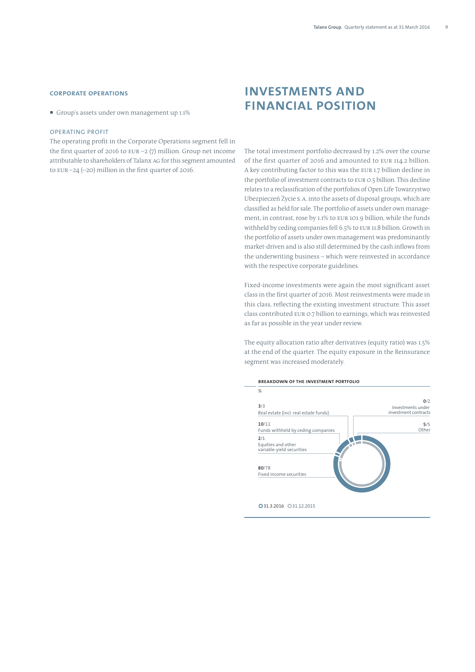## **CORPORATE OPERATIONS**

¡ Group's assets under own management up 1.1%

#### OPERATING PROFIT

The operating profit in the Corporate Operations segment fell in the first quarter of 2016 to EUR  $-2$  (7) million. Group net income attributable to shareholders of Talanx AG for this segment amounted to  $EUR - 24$  (-20) million in the first quarter of 2016.

# **INVESTMENTS AND FINANCIAL POSITION**

The total investment portfolio decreased by 1.2% over the course of the first quarter of 2016 and amounted to EUR 114.2 billion. A key contributing factor to this was the EUR 1.7 billion decline in the portfolio of investment contracts to EUR 0.5 billion. This decline relates to a reclassification of the portfolios of Open Life Towarzystwo Ubezpieczeń Życie S. A. into the assets of disposal groups, which are classified as held for sale. The portfolio of assets under own management, in contrast, rose by 1.1% to EUR 101.9 billion, while the funds withheld by ceding companies fell 6.5% to EUR 11.8 billion. Growth in the portfolio of assets under own management was predominantly market-driven and is also still determined by the cash inflows from the underwriting business – which were reinvested in accordance with the respective corporate guidelines.

Fixed-income investments were again the most significant asset class in the first quarter of 2016. Most reinvestments were made in this class, reflecting the existing investment structure. This asset class contributed EUR 0.7 billion to earnings, which was reinvested as far as possible in the year under review.

The equity allocation ratio after derivatives (equity ratio) was 1.5% at the end of the quarter. The equity exposure in the Reinsurance segment was increased moderately.

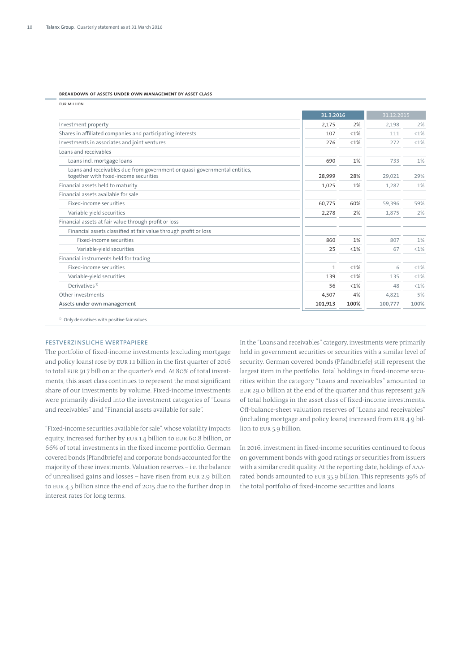#### **BREAKDOWN OF ASSETS UNDER OWN MANAGEMENT BY ASSET CLASS**

|                                                                                                                    |              | 31.3.2016 |         | 31.12.2015 |  |
|--------------------------------------------------------------------------------------------------------------------|--------------|-----------|---------|------------|--|
| Investment property                                                                                                | 2,175        | 2%        | 2.198   | 2%         |  |
| Shares in affiliated companies and participating interests                                                         | 107          | $<1\%$    | 111     | $<1\%$     |  |
| Investments in associates and joint ventures                                                                       | 276          | $<1\%$    | 272     | < 1%       |  |
| Loans and receivables                                                                                              |              |           |         |            |  |
| Loans incl. mortgage loans                                                                                         | 690          | 1%        | 733     | 1%         |  |
| Loans and receivables due from government or quasi-governmental entities,<br>together with fixed-income securities | 28,999       | 28%       | 29,021  | 29%        |  |
| Financial assets held to maturity                                                                                  | 1,025        | 1%        | 1.287   | 1%         |  |
| Financial assets available for sale                                                                                |              |           |         |            |  |
| Fixed-income securities                                                                                            | 60.775       | 60%       | 59,396  | 59%        |  |
| Variable-yield securities                                                                                          | 2,278        | 2%        | 1.875   | 2%         |  |
| Financial assets at fair value through profit or loss                                                              |              |           |         |            |  |
| Financial assets classified at fair value through profit or loss                                                   |              |           |         |            |  |
| Fixed-income securities                                                                                            | 860          | 1%        | 807     | 1%         |  |
| Variable-yield securities                                                                                          | 25           | $<1\%$    | 67      | $<1\%$     |  |
| Financial instruments held for trading                                                                             |              |           |         |            |  |
| Fixed-income securities                                                                                            | $\mathbf{1}$ | $< 1\%$   | 6       | $<1\%$     |  |
| Variable-yield securities                                                                                          | 139          | $< 1\%$   | 135     | < 1%       |  |
| Derivatives <sup>1)</sup>                                                                                          | 56           | < 1%      | 48      | <1%        |  |
| Other investments                                                                                                  | 4,507        | 4%        | 4.821   | 5%         |  |
| Assets under own management                                                                                        | 101,913      | 100%      | 100,777 | 100%       |  |

<sup>1)</sup> Only derivatives with positive fair values.

## FESTVERZINSLICHE WERTPAPIERE

The portfolio of fixed-income investments (excluding mortgage and policy loans) rose by EUR 1.1 billion in the first quarter of 2016 to total EUR 91.7 billion at the quarter's end. At 80% of total investments, this asset class continues to represent the most significant share of our investments by volume. Fixed-income investments were primarily divided into the investment categories of "Loans and receivables" and "Financial assets available for sale".

"Fixed-income securities available for sale", whose volatility impacts equity, increased further by EUR 1.4 billion to EUR 60.8 billion, or 66% of total investments in the fixed income portfolio. German covered bonds (Pfandbriefe) and corporate bonds accounted for the majority of these investments. Valuation reserves – i.e. the balance of unrealised gains and losses – have risen from EUR 2.9 billion to EUR 4.5 billion since the end of 2015 due to the further drop in interest rates for long terms.

In the "Loans and receivables" category, investments were primarily held in government securities or securities with a similar level of security. German covered bonds (Pfandbriefe) still represent the largest item in the portfolio. Total holdings in fixed-income securities within the category "Loans and receivables" amounted to EUR 29.0 billion at the end of the quarter and thus represent 32% of total holdings in the asset class of fixed-income investments. Off -balance-sheet valuation reserves of "Loans and receivables" (including mortgage and policy loans) increased from EUR 4.9 billion to EUR 5.9 billion.

In 2016, investment in fixed-income securities continued to focus on government bonds with good ratings or securities from issuers with a similar credit quality. At the reporting date, holdings of AAArated bonds amounted to EUR 35.9 billion. This represents 39% of the total portfolio of fixed-income securities and loans.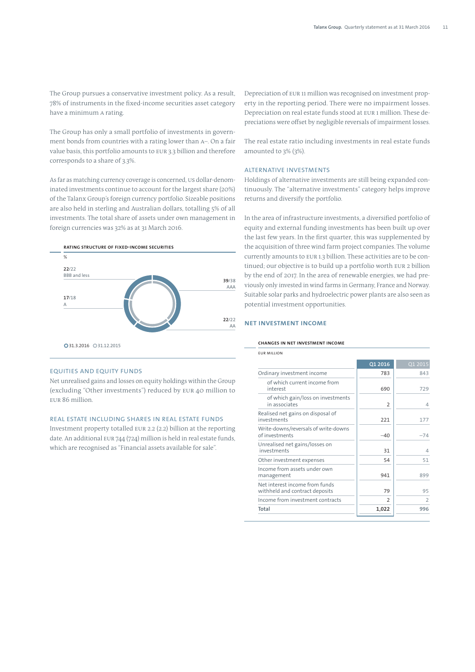The Group pursues a conservative investment policy. As a result, 78% of instruments in the fixed-income securities asset category have a minimum A rating.

The Group has only a small portfolio of investments in government bonds from countries with a rating lower than A–. On a fair value basis, this portfolio amounts to EUR 3.3 billion and therefore corresponds to a share of 3.3%.

As far as matching currency coverage is concerned, US dollar-denominated investments continue to account for the largest share (20%) of the Talanx Group's foreign currency portfolio. Sizeable positions are also held in sterling and Australian dollars, totalling 5% of all investments. The total share of assets under own management in foreign currencies was 32% as at 31 March 2016.



## EQUITIES AND EQUITY FUNDS

Net unrealised gains and losses on equity holdings within the Group (excluding "Other investments") reduced by EUR 40 million to EUR 86 million.

## REAL ESTATE INCLUDING SHARES IN REAL ESTATE FUNDS

Investment property totalled EUR 2.2 (2.2) billion at the reporting date. An additional EUR 744 (724) million is held in real estate funds, which are recognised as "Financial assets available for sale".

Depreciation of EUR 11 million was recognised on investment property in the reporting period. There were no impairment losses. Depreciation on real estate funds stood at EUR 1 million. These depreciations were offset by negligible reversals of impairment losses.

The real estate ratio including investments in real estate funds amounted to 3% (3%).

## ALTERNATIVE INVESTMENTS

Holdings of alternative investments are still being expanded continuously. The "alternative investments" category helps improve returns and diversify the portfolio.

In the area of infrastructure investments, a diversified portfolio of equity and external funding investments has been built up over the last few years. In the first quarter, this was supplemented by the acquisition of three wind farm project companies. The volume currently amounts to EUR 1.3 billion. These activities are to be continued; our objective is to build up a portfolio worth EUR 2 billion by the end of 2017. In the area of renewable energies, we had previously only invested in wind farms in Germany, France and Norway. Suitable solar parks and hydroelectric power plants are also seen as potential investment opportunities.

## **NET INVESTMENT INCOME**

## **CHANGES IN NET INVESTMENT INCOME**

| <b>FUR MILLION</b> |
|--------------------|
|                    |

|                                                                  | Q1 2016       | 01 2015        |
|------------------------------------------------------------------|---------------|----------------|
| Ordinary investment income                                       | 783           | 843            |
| of which current income from<br>interest                         | 690           | 729            |
| of which gain/loss on investments<br>in associates               | 2             | 4              |
| Realised net gains on disposal of<br>investments                 | 221           | 177            |
| Write-downs/reversals of write-downs<br>of investments           | $-40$         | $-74$          |
| Unrealised net gains/losses on<br>investments                    | 31            | $\overline{4}$ |
| Other investment expenses                                        | 54            | 51             |
| Income from assets under own<br>management                       | 941           | 899            |
| Net interest income from funds<br>withheld and contract deposits | 79            | 95             |
| Income from investment contracts                                 | $\mathcal{P}$ | $\mathcal{P}$  |
| Total                                                            | 1,022         | 996            |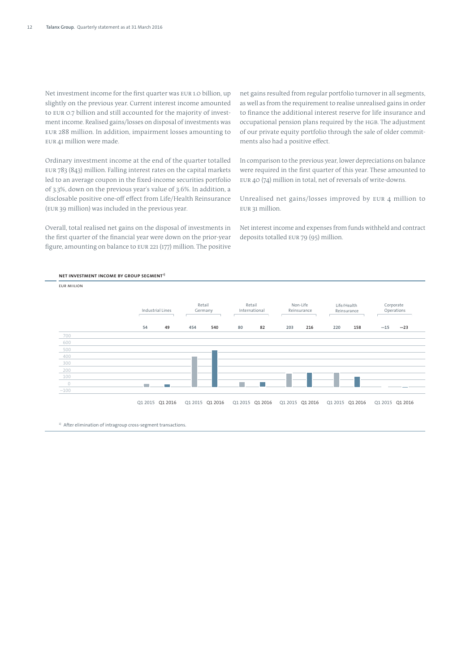Net investment income for the first quarter was EUR 1.0 billion, up slightly on the previous year. Current interest income amounted to EUR 0.7 billion and still accounted for the majority of investment income. Realised gains/losses on disposal of investments was EUR 288 million. In addition, impairment losses amounting to EUR 41 million were made.

Ordinary investment income at the end of the quarter totalled EUR 783 (843) million. Falling interest rates on the capital markets led to an average coupon in the fixed-income securities portfolio of 3.3%, down on the previous year's value of 3.6%. In addition, a disclosable positive one-off effect from Life/Health Reinsurance (EUR 39 million) was included in the previous year.

Overall, total realised net gains on the disposal of investments in the first quarter of the financial year were down on the prior-year figure, amounting on balance to EUR 221 (177) million. The positive net gains resulted from regular portfolio turnover in all segments, as well as from the requirement to realise unrealised gains in order to finance the additional interest reserve for life insurance and occupational pension plans required by the HGB. The adjustment of our private equity portfolio through the sale of older commitments also had a positive effect.

In comparison to the previous year, lower depreciations on balance were required in the first quarter of this year. These amounted to EUR 40 (74) million in total, net of reversals of write-downs.

Unrealised net gains/losses improved by EUR 4 million to EUR 31 million.

Net interest income and expenses from funds withheld and contract deposits totalled EUR 79 (95) million.



<sup>1)</sup> After elimination of intragroup cross-segment transactions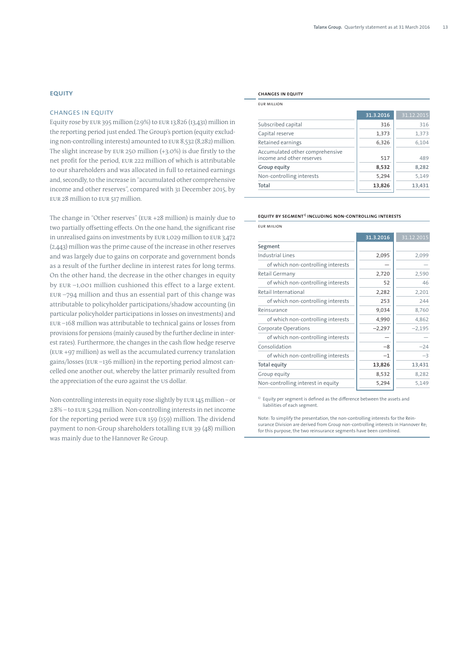## **EQUITY**

## CHANGES IN EQUITY

Equity rose by EUR 395 million (2.9%) to EUR 13,826 (13,431) million in the reporting period just ended. The Group's portion (equity excluding non-controlling interests) amounted to EUR 8,532 (8,282) million. The slight increase by EUR 250 million  $(+3.0\%)$  is due firstly to the net profit for the period, EUR 222 million of which is attributable to our shareholders and was allocated in full to retained earnings and, secondly, to the increase in "accumulated other comprehensive income and other reserves", compared with 31 December 2015, by EUR 28 million to EUR 517 million.

The change in "Other reserves" (EUR +28 million) is mainly due to two partially offsetting effects. On the one hand, the significant rise in unrealised gains on investments by EUR 1,029 million to EUR 3,472 (2,443) million was the prime cause of the increase in other reserves and was largely due to gains on corporate and government bonds as a result of the further decline in interest rates for long terms. On the other hand, the decrease in the other changes in equity by EUR –1,001 million cushioned this effect to a large extent. EUR –794 million and thus an essential part of this change was attributable to policyholder participations/shadow accounting (in particular policyholder participations in losses on investments) and EUR –168 million was attributable to technical gains or losses from provisions for pensions (mainly caused by the further decline in interest rates). Furthermore, the changes in the cash flow hedge reserve (EUR +97 million) as well as the accumulated currency translation gains/losses (EUR –136 million) in the reporting period almost cancelled one another out, whereby the latter primarily resulted from the appreciation of the euro against the US dollar.

Non-controlling interests in equity rose slightly by EUR 145 million – or 2.8% – to EUR 5,294 million. Non-controlling interests in net income for the reporting period were EUR 159 (159) million. The dividend payment to non-Group shareholders totalling EUR 39 (48) million was mainly due to the Hannover Re Group.

## **CHANGES IN EQUITY**

EUR MIILION

| 31.3.2016 | 31.12.2015 |
|-----------|------------|
| 316       | 316        |
| 1,373     | 1,373      |
| 6,326     | 6.104      |
| 517       | 489        |
| 8,532     | 8,282      |
| 5,294     | 5.149      |
| 13,826    | 13,431     |
|           |            |

#### **EQUITY BY SEGMENT 1) INCLUDING NON-CONTROLLING INTERESTS**

|                                    | 31.3.2016 | 31.12.2015 |
|------------------------------------|-----------|------------|
| Segment                            |           |            |
| Industrial Lines                   | 2,095     | 2,099      |
| of which non-controlling interests |           |            |
| Retail Germany                     | 2,720     | 2,590      |
| of which non-controlling interests | 52        | 46         |
| Retail International               | 2,282     | 2,201      |
| of which non-controlling interests | 253       | 244        |
| Reinsurance                        | 9,034     | 8,760      |
| of which non-controlling interests | 4,990     | 4,862      |
| Corporate Operations               | $-2,297$  | $-2,195$   |
| of which non-controlling interests |           |            |
| Consolidation                      | $-8$      | $-24$      |
| of which non-controlling interests | $^{-1}$   | $-3$       |
| <b>Total equity</b>                | 13,826    | 13,431     |
| Group equity                       | 8,532     | 8,282      |
| Non-controlling interest in equity | 5,294     | 5,149      |

<sup>1)</sup> Equity per segment is defined as the difference between the assets and liabilities of each segment.

Note: To simplify the presentation, the non-controlling interests for the Reinsurance Division are derived from Group non-controlling interests in Hannover Re; for this purpose, the two reinsurance segments have been combined.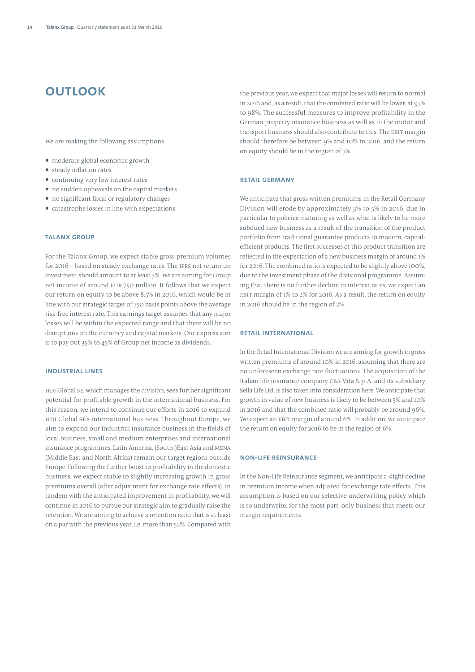# **OUTLOOK**

We are making the following assumptions:

- $\blacksquare$  moderate global economic growth
- $\blacksquare$  steady inflation rates
- $\blacksquare$  continuing very low interest rates
- $\blacksquare$  no sudden upheavals on the capital markets
- $\blacksquare$  no significant fiscal or regulatory changes
- $\blacksquare$  catastrophe losses in line with expectations

## **TALANX GROUP**

For the Talanx Group, we expect stable gross premium volumes for 2016 – based on steady exchange rates. The IFRS net return on investment should amount to at least 3%. We are aiming for Group net income of around EUR 750 million. It follows that we expect our return on equity to be above 8.5% in 2016, which would be in line with our strategic target of 750 basis points above the average risk-free interest rate. This earnings target assumes that any major losses will be within the expected range and that there will be no disruptions on the currency and capital markets. Our express aim is to pay out 35% to 45% of Group net income as dividends.

# **INDUSTRIAL LINES**

HDI Global SE, which manages the division, sees further significant potential for profitable growth in the international business. For this reason, we intend to continue our efforts in 2016 to expand HDI Global SE's international business. Throughout Europe, we aim to expand our industrial insurance business in the fields of local business, small and medium enterprises and international insurance programmes. Latin America, (South-)East Asia and MENA (Middle East and North Africa) remain our target regions outside Europe. Following the further boost to profitability in the domestic business, we expect stable to slightly increasing growth in gross premiums overall (after adjustment for exchange rate effects). In tandem with the anticipated improvement in profitability, we will continue in 2016 to pursue our strategic aim to gradually raise the retention. We are aiming to achieve a retention ratio that is at least on a par with the previous year, i.e. more than 52%. Compared with

the previous year, we expect that major losses will return to normal in 2016 and, as a result, that the combined ratio will be lower, at 97% to 98%. The successful measures to improve profitability in the German property insurance business as well as in the motor and transport business should also contribute to this. The EBIT margin should therefore be between 9% and 10% in 2016, and the return on equity should be in the region of 7%.

## **RETAIL GERMANY**

We anticipate that gross written premiums in the Retail Germany Division will erode by approximately 3% to 5% in 2016, due in particular to policies maturing as well as what is likely to be more subdued new business as a result of the transition of the product portfolio from traditional guarantee products to modern, capitalefficient products. The first successes of this product transition are reflected in the expectation of a new business margin of around 1% for 2016. The combined ratio is expected to be slightly above 100%, due to the investment phase of the divisional programme. Assuming that there is no further decline in interest rates, we expect an EBIT margin of 1% to 2% for 2016. As a result, the return on equity in 2016 should be in the region of 2%.

## **RETAIL INTERNATIONAL**

In the Retail International Division we are aiming for growth in gross written premiums of around 10% in 2016, assuming that there are no unforeseen exchange rate fluctuations. The acquisition of the Italian life insurance company CBA Vita S. p. A. and its subsidiary Sella Life Ltd. is also taken into consideration here. We anticipate that growth in value of new business is likely to be between 5% and 10% in 2016 and that the combined ratio will probably be around 96%. We expect an EBIT margin of around 6%. In addition, we anticipate the return on equity for 2016 to be in the region of 6%.

## **NON-LIFE REINSURANCE**

In the Non-Life Reinsurance segment, we anticipate a slight decline in premium income when adjusted for exchange rate effects. This assumption is based on our selective underwriting policy which is to underwrite, for the most part, only business that meets our margin requirements.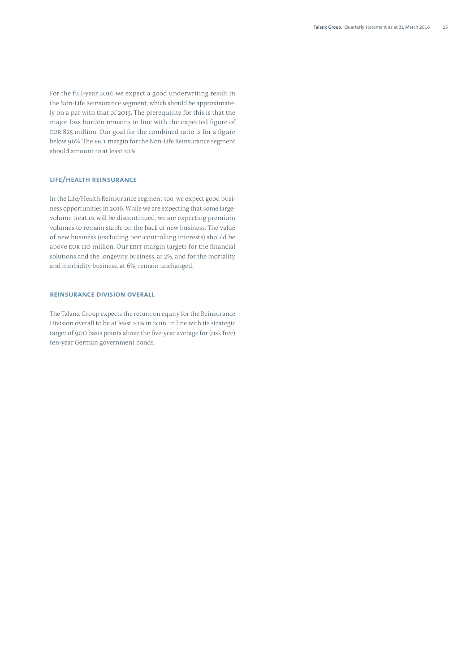For the full-year 2016 we expect a good underwriting result in the Non-Life Reinsurance segment, which should be approximately on a par with that of 2015. The prerequisite for this is that the major loss burden remains in line with the expected figure of EUR 825 million. Our goal for the combined ratio is for a figure below 96%. The EBIT margin for the Non-Life Reinsurance segment should amount to at least 10%.

## **LIFE/HEALTH REINSURANCE**

In the Life/Health Reinsurance segment too, we expect good business opportunities in 2016. While we are expecting that some largevolume treaties will be discontinued, we are expecting premium volumes to remain stable on the back of new business. The value of new business (excluding non-controlling interests) should be above EUR 110 million. Our EBIT margin targets for the financial solutions and the longevity business, at 2%, and for the mortality and morbidity business, at 6%, remain unchanged.

## **REINSURANCE DIVISION OVERALL**

The Talanx Group expects the return on equity for the Reinsurance Division overall to be at least 10% in 2016, in line with its strategic target of 900 basis points above the five-year average for (risk free) ten-year German government bonds.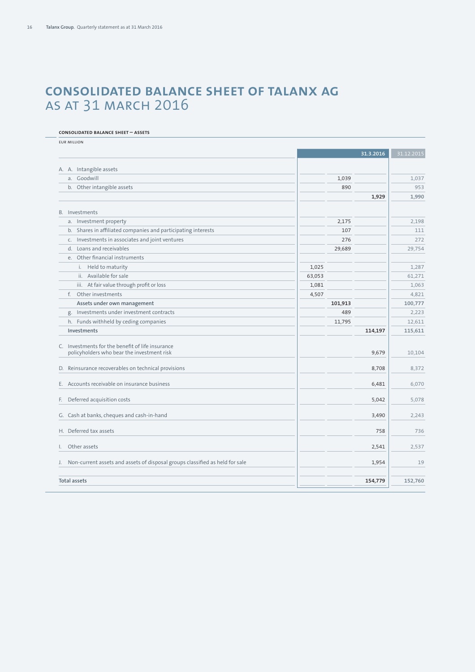# **CONSOLIDATED BALANCE SHEET OF TALANX AG**  AS AT 31 MARCH 2016

## **CONSOLIDATED BALANCE SHEET – ASSETS**

EUR MILLION

|                                                                                 |        |         | 31.3.2016 | 31.12.2015 |
|---------------------------------------------------------------------------------|--------|---------|-----------|------------|
| A. A. Intangible assets                                                         |        |         |           |            |
| a. Goodwill                                                                     |        | 1,039   |           | 1,037      |
| b. Other intangible assets                                                      |        | 890     |           | 953        |
|                                                                                 |        |         | 1,929     | 1,990      |
|                                                                                 |        |         |           |            |
| B. Investments                                                                  |        |         |           |            |
| a. Investment property                                                          |        | 2,175   |           | 2,198      |
| b. Shares in affiliated companies and participating interests                   |        | 107     |           | 111        |
| c. Investments in associates and joint ventures                                 |        | 276     |           | 272        |
| d. Loans and receivables                                                        |        | 29,689  |           | 29,754     |
| e. Other financial instruments                                                  |        |         |           |            |
| i. Held to maturity                                                             | 1,025  |         |           | 1,287      |
| ii. Available for sale                                                          | 63,053 |         |           | 61,271     |
| iii. At fair value through profit or loss                                       | 1,081  |         |           | 1,063      |
| f. Other investments                                                            | 4,507  |         |           | 4,821      |
| Assets under own management                                                     |        | 101,913 |           | 100,777    |
| g. Investments under investment contracts                                       |        | 489     |           | 2,223      |
| h. Funds withheld by ceding companies                                           |        | 11,795  |           | 12.611     |
| Investments                                                                     |        |         | 114,197   | 115,611    |
|                                                                                 |        |         |           |            |
| C. Investments for the benefit of life insurance                                |        |         |           |            |
| policyholders who bear the investment risk                                      |        |         | 9,679     | 10,104     |
| D. Reinsurance recoverables on technical provisions                             |        |         | 8,708     | 8,372      |
|                                                                                 |        |         |           |            |
| E. Accounts receivable on insurance business                                    |        |         | 6,481     | 6,070      |
| F. Deferred acquisition costs                                                   |        |         | 5,042     | 5,078      |
|                                                                                 |        |         |           |            |
| G. Cash at banks, cheques and cash-in-hand                                      |        |         | 3,490     | 2,243      |
| H. Deferred tax assets                                                          |        |         | 758       | 736        |
|                                                                                 |        |         |           |            |
| Other assets<br>L.                                                              |        |         | 2,541     | 2,537      |
|                                                                                 |        |         |           |            |
| J. Non-current assets and assets of disposal groups classified as held for sale |        |         | 1,954     | 19         |
| <b>Total assets</b>                                                             |        |         | 154,779   | 152,760    |
|                                                                                 |        |         |           |            |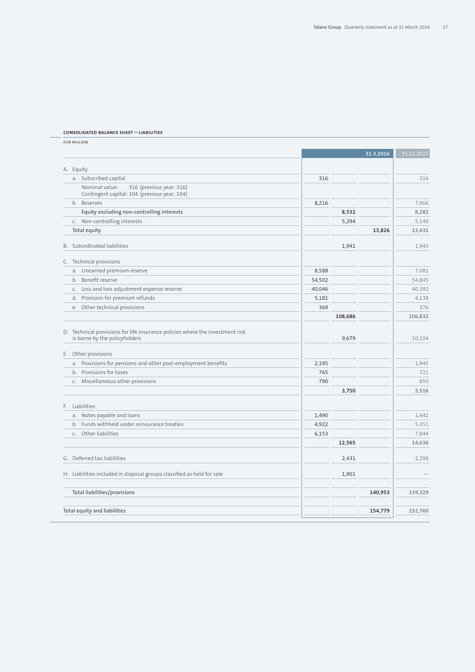## **CONSOLIDATED BALANCE SHEET – LIABILITIES**

EUR MILLION

|    |                                                                                                                |        |         | 31.3.2016 | 31.12.2015 |
|----|----------------------------------------------------------------------------------------------------------------|--------|---------|-----------|------------|
|    | A. Equity                                                                                                      |        |         |           |            |
|    | a. Subscribed capital                                                                                          | 316    |         |           | 316        |
|    | 316 (previous year: 316)<br>Nominal value:<br>Contingent capital: 104 (previous year: 104)                     |        |         |           |            |
|    | b. Reserves                                                                                                    | 8,216  |         |           | 7,966      |
|    | Equity excluding non-controlling interests                                                                     |        | 8,532   |           | 8,282      |
|    | c. Non-controlling interests                                                                                   |        | 5,294   |           | 5,149      |
|    | Total equity                                                                                                   |        |         | 13,826    | 13,431     |
| В. | Subordinated liabilities                                                                                       |        | 1,941   |           | 1,943      |
|    | C. Technical provisions                                                                                        |        |         |           |            |
|    | a. Unearned premium reserve                                                                                    | 8,588  |         |           | 7,081      |
|    | b. Benefit reserve                                                                                             | 54,502 |         |           | 54,845     |
|    | c. Loss and loss adjustment expense reserve                                                                    | 40,046 |         |           | 40,392     |
|    | d. Provision for premium refunds                                                                               | 5,181  |         |           | 4,138      |
|    | e. Other technical provisions                                                                                  | 369    |         |           | 376        |
|    |                                                                                                                |        | 108,686 |           | 106,832    |
|    | D. Technical provisions for life insurance policies where the investment risk<br>is borne by the policyholders |        | 9,679   |           | 10,104     |
|    | E. Other provisions                                                                                            |        |         |           |            |
|    | a. Provisions for pensions and other post-employment benefits                                                  | 2,195  |         |           | 1,945      |
|    | b. Provisions for taxes                                                                                        | 765    |         |           | 721        |
|    | c. Miscellaneous other provisions                                                                              | 790    |         |           | 850        |
|    |                                                                                                                |        | 3,750   |           | 3,516      |
|    | F. Liabilities                                                                                                 |        |         |           |            |
|    | a. Notes payable and loans                                                                                     | 1,490  |         |           | 1,441      |
|    | b. Funds withheld under reinsurance treaties                                                                   | 4,922  |         |           | 5,351      |
|    | c. Other liabilities                                                                                           | 6,153  |         |           | 7,844      |
|    |                                                                                                                |        | 12,565  |           | 14,636     |
|    | G. Deferred tax liabilities                                                                                    |        | 2,431   |           | 2,298      |
|    | H. Liabilities included in disposal groups classified as held for sale                                         |        | 1,901   |           |            |
|    | Total liabilities/provisions                                                                                   |        |         | 140,953   | 139,329    |
|    | Total equity and liabilities                                                                                   |        |         | 154,779   | 152,760    |
|    |                                                                                                                |        |         |           |            |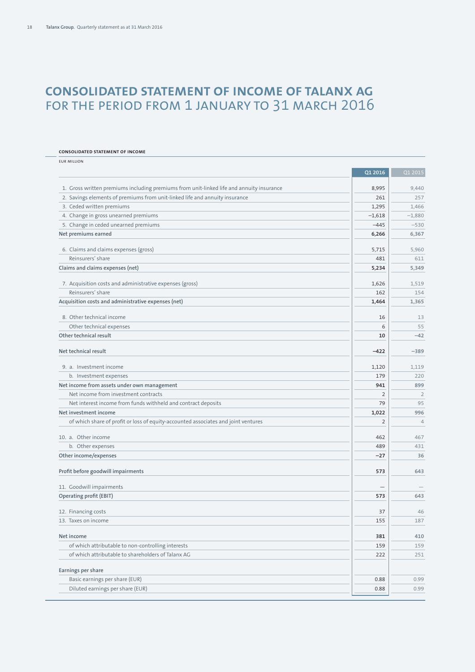# **CONSOLIDATED STATEMENT OF INCOME OF TALANX AG**  FOR THE PERIOD FROM 1 JANUARY TO 31 MARCH 2016

## **CONSOLIDATED STATEMENT OF INCOME**

| <b>EUR MILLION</b>                                                                       |          |                |
|------------------------------------------------------------------------------------------|----------|----------------|
|                                                                                          | Q1 2016  | Q1 2015        |
| 1. Gross written premiums including premiums from unit-linked life and annuity insurance | 8,995    | 9,440          |
| 2. Savings elements of premiums from unit-linked life and annuity insurance              | 261      | 257            |
| 3. Ceded written premiums                                                                | 1,295    | 1,466          |
| 4. Change in gross unearned premiums                                                     | $-1,618$ | $-1,880$       |
| 5. Change in ceded unearned premiums                                                     | $-445$   | $-530$         |
| Net premiums earned                                                                      | 6,266    | 6,367          |
|                                                                                          |          |                |
| 6. Claims and claims expenses (gross)                                                    | 5,715    | 5.960          |
| Reinsurers' share                                                                        | 481      | 611            |
| Claims and claims expenses (net)                                                         | 5,234    | 5,349          |
| 7. Acquisition costs and administrative expenses (gross)                                 | 1,626    | 1,519          |
| Reinsurers' share                                                                        | 162      | 154            |
| Acquisition costs and administrative expenses (net)                                      | 1,464    | 1,365          |
|                                                                                          |          |                |
| 8. Other technical income                                                                | 16       | 13             |
| Other technical expenses                                                                 | 6        | 55             |
| Other technical result                                                                   | 10       | $-42$          |
| Net technical result                                                                     | $-422$   | $-389$         |
| 9. a. Investment income                                                                  | 1,120    | 1,119          |
| b. Investment expenses                                                                   | 179      | 220            |
| Net income from assets under own management                                              | 941      | 899            |
| Net income from investment contracts                                                     | 2        | $\overline{2}$ |
| Net interest income from funds withheld and contract deposits                            | 79       | 95             |
| Net investment income                                                                    | 1,022    | 996            |
| of which share of profit or loss of equity-accounted associates and joint ventures       | 2        | $\overline{4}$ |
|                                                                                          |          |                |
| 10. a. Other income                                                                      | 462      | 467            |
| b. Other expenses                                                                        | 489      | 431            |
| Other income/expenses                                                                    | $-27$    | 36             |
| Profit before goodwill impairments                                                       | 573      | 643            |
| 11. Goodwill impairments                                                                 |          |                |
| Operating profit (EBIT)                                                                  | 573      | 643            |
| 12. Financing costs                                                                      | 37       | 46             |
| 13. Taxes on income                                                                      | 155      | 187            |
|                                                                                          |          |                |
| Net income                                                                               | 381      | 410            |
| of which attributable to non-controlling interests                                       | 159      | 159            |
| of which attributable to shareholders of Talanx AG                                       | 222      | 251            |
| Earnings per share                                                                       |          |                |
| Basic earnings per share (EUR)                                                           | 0.88     | 0.99           |
| Diluted earnings per share (EUR)                                                         | 0.88     | 0.99           |
|                                                                                          |          |                |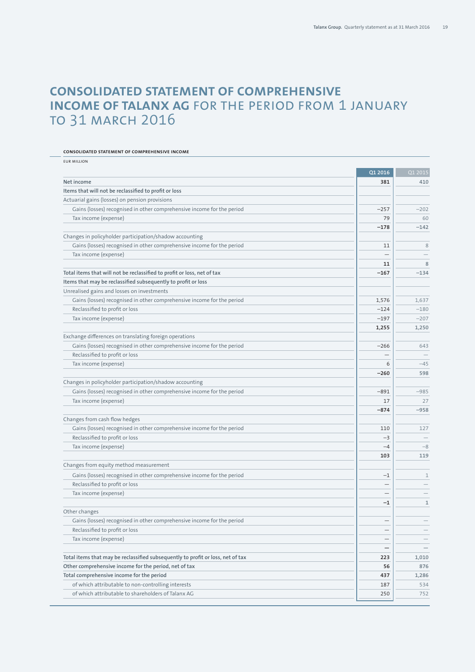# **CONSOLIDATED STATEMENT OF COMPREHENSIVE INCOME OF TALANX AG** FOR THE PERIOD FROM 1 JANUARY TO 31 MARCH 2016

# EUR MILLION **Q1 2016** Q1 2015 **Net income 381 410 Items that will not be reclassified to profit or loss** Actuarial gains (losses) on pension provisions Gains (losses) recognised in other comprehensive income for the period  $-257$  –202 Tax income (expense) 79 60  **–178 –142** Changes in policyholder participation/shadow accounting Gains (losses) recognised in other comprehensive income for the period 11 8 and 11 8 and 11 8 and 11 8 and 11 8 and 11 8 and 12 and 12 and 12 and 12 and 12 and 12 and 12 and 12 and 12 and 12 and 12 and 12 and 12 and 13 and Tax income (expense) — —  $|11|$  8 Total items that will not be reclassified to profit or loss, net of tax **168 and 168 and 168 and 168 and 168 and 168 and 168 and 168 and 168 and 168 and 168 and 168 and 168 and 168 and 168 and 168 and 168 and 168 and 168 a Items that may be reclassified subsequently to profit or loss** Unrealised gains and losses on investments Gains (losses) recognised in other comprehensive income for the period 1,576 1,537 1,537 1,537 Reclassified to profit or loss  $-124$   $-180$ Tax income (expense)  $-197$   $-207$ **1,255 1,250** Exchange differences on translating foreign operations Gains (losses) recognised in other comprehensive income for the period **643** 643 Reclassified to profit or loss  $-$ Tax income (expense) 6 –45  **–260 598** Changes in policyholder participation/shadow accounting Gains (losses) recognised in other comprehensive income for the period and determined and the period of the period and the period of the period of the period of the period of the period of the period of the period of the p Tax income (expense) and the set of the set of the set of the set of the set of the set of the set of the set of the set of the set of the set of the set of the set of the set of the set of the set of the set of the set of  **–874 –958** Changes from cash flow hedges Gains (losses) recognised in other comprehensive income for the period 110 127 Reclassified to profit or loss  $-3$ Tax income (expense)  $-4$   $-8$ **103 119** Changes from equity method measurement Gains (losses) recognised in other comprehensive income for the period –1 1 Reclassified to profit or loss  $-$ Tax income (expense)  $-1$   $1$ Other changes Gains (losses) recognised in other comprehensive income for the period — — Reclassifi ed to profi t or loss — — Tax income (expense)  $\qquad \qquad \qquad$ **— — Total items that may be reclassified subsequently to profit or loss, net of tax <b>223 1,010 223 1,010 Other comprehensive income for the period, net of tax 56 876 876 876 876 876 Total comprehensive income for the period 437 1,286** of which attributable to non-controlling interests 187 and 187 states 187 states 187 states 187 states 187 states 187 states 187 states 187 states 187 states 187 states 187 states 187 states 187 states 187 states 187 state of which attributable to shareholders of Talanx AG 250  $\sim$  250  $\sim$  250  $\sim$  250  $\sim$  252

#### **CONSOLIDATED STATEMENT OF COMPREHENSIVE INCOME**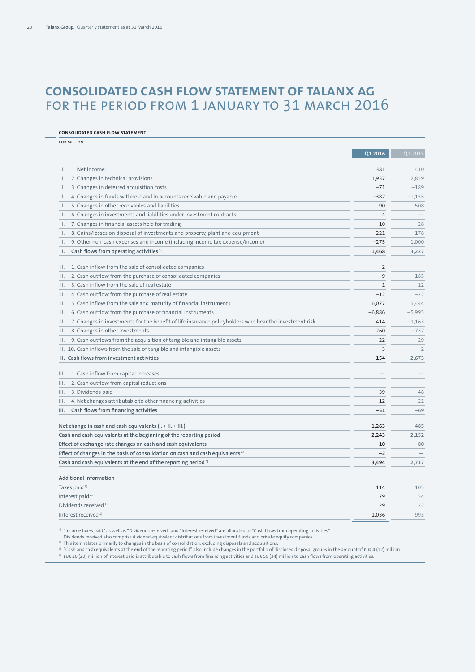# **CONSOLIDATED CASH FLOW STATEMENT OF TALANX AG**  FOR THE PERIOD FROM 1 JANUARY TO 31 MARCH 2016

## **CONSOLIDATED CASH FLOW STATEMENT**

EUR MILLION

|                                                                                                              | Q1 2016        | Q1 2015                  |
|--------------------------------------------------------------------------------------------------------------|----------------|--------------------------|
| 1. Net income<br>I.                                                                                          | 381            | 410                      |
| 2. Changes in technical provisions<br>I.                                                                     | 1,937          | 2,859                    |
| 3. Changes in deferred acquisition costs<br>I.                                                               | $-71$          | $-189$                   |
|                                                                                                              | $-387$         | $-1,155$                 |
| 4. Changes in funds withheld and in accounts receivable and payable<br>I.                                    |                |                          |
| 5. Changes in other receivables and liabilities<br>I.                                                        | 90             | 508                      |
| 6. Changes in investments and liabilities under investment contracts<br>I.                                   | $\overline{4}$ | $\overline{\phantom{m}}$ |
| 7. Changes in financial assets held for trading<br>I.                                                        | 10             | $-28$                    |
| 8. Gains/losses on disposal of investments and property, plant and equipment<br>I.                           | $-221$         | $-178$                   |
| 9. Other non-cash expenses and income (including income tax expense/income)<br>I.                            | $-275$         | 1,000                    |
| Cash flows from operating activities <sup>1)</sup><br>I.                                                     | 1,468          | 3,227                    |
| 1. Cash inflow from the sale of consolidated companies<br>Н.                                                 | $\overline{2}$ |                          |
| 2. Cash outflow from the purchase of consolidated companies<br>Ш.                                            | 9              | $-185$                   |
| 3. Cash inflow from the sale of real estate<br>Ш.                                                            | $\mathbf{1}$   | 12                       |
| 4. Cash outflow from the purchase of real estate<br>Ш.                                                       | $-12$          | $-22$                    |
| 5. Cash inflow from the sale and maturity of financial instruments<br>Н.                                     | 6,077          | 5,444                    |
| 6. Cash outflow from the purchase of financial instruments<br>Ш.                                             | $-6,886$       | $-5,995$                 |
| 7. Changes in investments for the benefit of life insurance policyholders who bear the investment risk<br>Ш. | 414            | $-1,163$                 |
| 8. Changes in other investments<br>Ш.                                                                        | 260            | $-737$                   |
| 9. Cash outflows from the acquisition of tangible and intangible assets<br>Ш.                                | $-22$          | $-29$                    |
| II. 10. Cash inflows from the sale of tangible and intangible assets                                         | 3              | $\overline{2}$           |
| II. Cash flows from investment activities                                                                    | $-154$         | $-2,673$                 |
|                                                                                                              |                |                          |
| 1. Cash inflow from capital increases<br>III.                                                                |                |                          |
| 2. Cash outflow from capital reductions<br>III.                                                              |                |                          |
| 3. Dividends paid<br>III.                                                                                    | $-39$          | $-48$                    |
| 4. Net changes attributable to other financing activities<br>III.                                            | $-12$          | $-21$                    |
| Cash flows from financing activities<br>III.                                                                 | $-51$          | $-69$                    |
|                                                                                                              |                |                          |
| Net change in cash and cash equivalents (I. + II. + III.)                                                    | 1,263          | 485                      |
| Cash and cash equivalents at the beginning of the reporting period                                           | 2,243          | 2,152                    |
| Effect of exchange rate changes on cash and cash equivalents                                                 | $-10$          | 80                       |
| Effect of changes in the basis of consolidation on cash and cash equivalents <sup>2)</sup>                   | $-2$           |                          |
| Cash and cash equivalents at the end of the reporting period <sup>3)</sup>                                   | 3,494          | 2,717                    |
| <b>Additional information</b>                                                                                |                |                          |
| Taxes paid <sup>1)</sup>                                                                                     | 114            | 105                      |
| Interest paid <sup>4)</sup>                                                                                  | 79             | 54                       |
| Dividends received <sup>1)</sup>                                                                             | 29             | 22                       |
| Interest received <sup>1)</sup>                                                                              | 1.036          | 993                      |

1) "Income taxes paid" as well as "Dividends received" and "Interest received" are allocated to "Cash flows from operating activities".

Dividends received also comprise dividend-equivalent distributions from investment funds and private equity companies.

 $^{2)}$  This item relates primarily to changes in the basis of consolidation, excluding disposals and acquisitions.

 $^{\text{\tiny{3)}}}$  "Cash and cash equivalents at the end of the reporting period" also include changes in the portfolio of disclosed disposal groups in the amount of <code>EUR 4(12)</code> million.

eur 20 (20) million of interest paid is attributable to cash flows from financing activities and EUR 59 (34) million to cash flows from operating activities.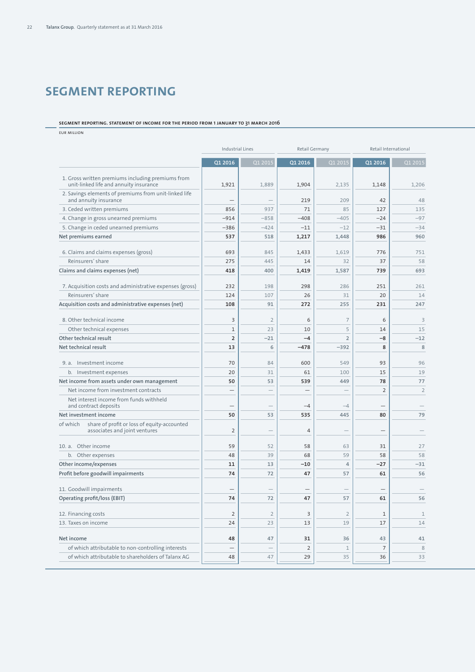# **SEGMENT REPORTING**

## **SEGMENT REPORTING. STATEMENT OF INCOME FOR THE PERIOD FROM 1 JANUARY TO 31 MARCH 2016**

EUR MILLION

|                                                                                             | <b>Industrial Lines</b> |                | Retail Germany |                | Retail International |                |
|---------------------------------------------------------------------------------------------|-------------------------|----------------|----------------|----------------|----------------------|----------------|
|                                                                                             | Q1 2016                 | Q1 2015        | Q1 2016        | Q1 2015        | 01 2016              | Q1 2015        |
| 1. Gross written premiums including premiums from<br>unit-linked life and annuity insurance | 1,921                   | 1,889          | 1,904          | 2,135          | 1,148                | 1,206          |
| 2. Savings elements of premiums from unit-linked life<br>and annuity insurance              |                         |                | 219            | 209            | 42                   | 48             |
| 3. Ceded written premiums                                                                   | 856                     | 937            | 71             | 85             | 127                  | 135            |
| 4. Change in gross unearned premiums                                                        | $-914$                  | $-858$         | $-408$         | $-405$         | $-24$                | $-97$          |
| 5. Change in ceded unearned premiums                                                        | $-386$                  | $-424$         | $-11$          | $-12$          | $-31$                | $-34$          |
| Net premiums earned                                                                         | 537                     | 518            | 1,217          | 1,448          | 986                  | 960            |
| 6. Claims and claims expenses (gross)                                                       | 693                     | 845            | 1,433          | 1,619          | 776                  | 751            |
| Reinsurers' share                                                                           | 275                     | 445            | 14             | 32             | 37                   | 58             |
| Claims and claims expenses (net)                                                            | 418                     | 400            | 1,419          | 1,587          | 739                  | 693            |
| 7. Acquisition costs and administrative expenses (gross)                                    | 232                     | 198            | 298            | 286            | 251                  | 261            |
| Reinsurers' share                                                                           | 124                     | 107            | 26             | 31             | 20                   | 14             |
| Acquisition costs and administrative expenses (net)                                         | 108                     | 91             | 272            | 255            | 231                  | 247            |
| 8. Other technical income                                                                   | 3                       | $\overline{2}$ | 6              | $\overline{7}$ | 6                    | $\overline{3}$ |
| Other technical expenses                                                                    | $\mathbf 1$             | 23             | 10             | 5              | 14                   | 15             |
| Other technical result                                                                      | $\overline{2}$          | $-21$          | $-4$           | $\overline{2}$ | $-8$                 | $-12$          |
| Net technical result                                                                        | 13                      | 6              | $-478$         | $-392$         | 8                    | $\,$ 8 $\,$    |
| 9. a. Investment income                                                                     | 70                      | 84             | 600            | 549            | 93                   | 96             |
| b. Investment expenses                                                                      | 20                      | 31             | 61             | 100            | 15                   | 19             |
| Net income from assets under own management                                                 | 50                      | 53             | 539            | 449            | 78                   | 77             |
| Net income from investment contracts                                                        |                         |                |                |                | $\overline{2}$       | $\overline{2}$ |
| Net interest income from funds withheld<br>and contract deposits                            |                         |                | $-4$           | $-4$           |                      |                |
| Net investment income                                                                       | 50                      | 53             | 535            | 445            | 80                   | 79             |
| share of profit or loss of equity-accounted<br>of which<br>associates and joint ventures    | $\overline{2}$          |                | 4              |                |                      |                |
| 10. a. Other income                                                                         | 59                      | 52             | 58             | 63             | 31                   | 27             |
| b. Other expenses                                                                           | 48                      | 39             | 68             | 59             | 58                   | 58             |
| Other income/expenses                                                                       | 11                      | 13             | $-10$          | 4              | $-27$                | $-31$          |
| Profit before goodwill impairments                                                          | 74                      | 72             | 47             | 57             | 61                   | 56             |
| 11. Goodwill impairments                                                                    |                         |                |                |                |                      |                |
| Operating profit/loss (EBIT)                                                                | 74                      | 72             | 47             | 57             | 61                   | 56             |
| 12. Financing costs                                                                         | $\overline{2}$          | $\overline{2}$ | 3              | $\overline{2}$ | 1                    | $\mathbf 1$    |
| 13. Taxes on income                                                                         | 24                      | 23             | 13             | 19             | 17                   | 14             |
| Net income                                                                                  | 48                      | 47             | 31             | 36             | 43                   | 41             |
| of which attributable to non-controlling interests                                          | $\qquad \qquad -$       |                | $\overline{2}$ | $\mathbf 1$    | $\overline{7}$       | 8              |
| of which attributable to shareholders of Talanx AG                                          | 48                      | 47             | 29             | 35             | 36                   | 33             |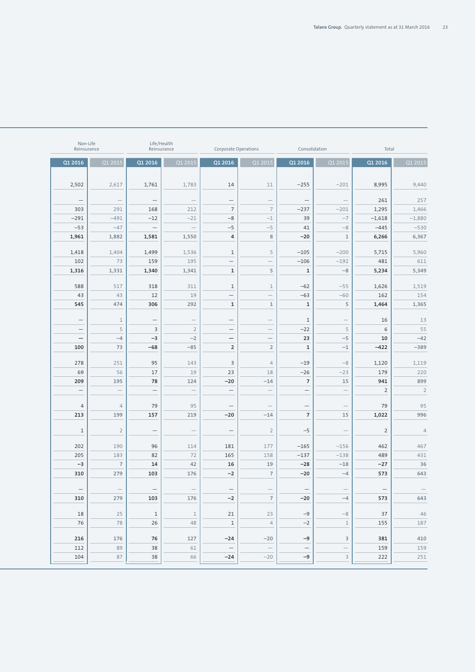| Non-Life<br>Reinsurance         |                          | Life/Health<br>Reinsurance          |                          | Corporate Operations     |                          | Consolidation         |                | Total          |                       |
|---------------------------------|--------------------------|-------------------------------------|--------------------------|--------------------------|--------------------------|-----------------------|----------------|----------------|-----------------------|
| Q1 2016                         | Q1 2015                  | Q1 2016                             | Q1 2015                  | Q1 2016                  | Q1 2015                  | Q1 2016               | Q1 2015        | Q1 2016        | $\overline{Q}$ 1 2015 |
|                                 |                          |                                     |                          |                          |                          |                       |                |                |                       |
| 2,502                           | 2,617                    | 1,761                               | 1,783                    | 14                       | 11                       | $-255$                | $-201$         | 8,995          | 9,440                 |
|                                 |                          |                                     |                          |                          |                          |                       |                |                |                       |
| $\overline{\phantom{0}}$<br>303 | $\overline{\phantom{m}}$ |                                     |                          | $\overline{7}$           | $\overline{7}$           |                       |                | 261<br>1,295   | 257<br>1,466          |
| $-291$                          | 291<br>$-491$            | 168<br>$-12$                        | 212<br>$-21$             | $-8$                     | $-1$                     | $-237$<br>39          | $-201$<br>$-7$ | $-1,618$       | $-1,880$              |
| $-53$                           | $-47$                    | $\overline{\phantom{m}}$            | $\overline{\phantom{m}}$ | $-5$                     | $-5$                     | 41                    | $-8\,$         | $-445$         | $-530$                |
| 1,961                           | 1,882                    | 1,581                               | 1,550                    | 4                        | $\,$ 8 $\,$              | $-20$                 | $1\,$          | 6,266          | 6,367                 |
|                                 |                          |                                     |                          |                          |                          |                       |                |                |                       |
| 1,418                           | 1,404                    | 1,499                               | 1,536                    | $\mathbf{1}$             | 5                        | $-105$                | $-200$         | 5,715          | 5,960                 |
| 102                             | 73                       | 159                                 | 195                      | $\overline{\phantom{0}}$ |                          | $-106$                | $-192$         | 481            | 611                   |
| 1,316                           | 1,331                    | 1,340                               | 1,341                    | $\mathbf{1}$             | 5                        | $\mathbf{1}$          | $-8$           | 5,234          | 5,349                 |
| 588                             | 517                      | 318                                 | 311                      | $\mathbf{1}$             | $\mathbf 1$              | $-62$                 | $-55$          | 1,626          | 1,519                 |
| 43                              | 43                       | 12                                  | 19                       | $\qquad \qquad -$        | $\overline{\phantom{0}}$ | $-63$                 | $-60$          | 162            | 154                   |
| 545                             | 474                      | 306                                 | 292                      | $\mathbf{1}$             | $\mathbf{1}$             | $\mathbf{1}$          | 5              | 1,464          | 1,365                 |
|                                 |                          |                                     |                          |                          |                          |                       |                |                |                       |
| $\qquad \qquad -$               | $\mathbf 1$<br>5         | $\qquad \qquad -$<br>$\overline{3}$ | $\overline{2}$           | $\qquad \qquad -$        | $\qquad \qquad -$        | $\mathbf{1}$<br>$-22$ | 5              | 16<br>6        | 13<br>55              |
| $\qquad \qquad -$               | $-4$                     | $-3$                                | $-2$                     | $\qquad \qquad -$        | $\overline{\phantom{m}}$ | 23                    | $-5$           | 10             | $-42$                 |
| 100                             | 73                       | $-68$                               | $-85$                    | $\overline{2}$           | $\overline{2}$           | $\mathbf{1}$          | $-1$           | $-422$         | $-389$                |
|                                 |                          |                                     |                          |                          |                          |                       |                |                |                       |
| 278                             | 251                      | 95                                  | 143                      | $\overline{3}$           | $\overline{4}$           | $-19$                 | $-8$           | 1,120          | 1,119                 |
| 69                              | 56                       | 17                                  | 19                       | 23                       | 18                       | $-26$                 | $-23$          | 179            | 220                   |
| 209                             | 195                      | 78                                  | 124                      | $-20$                    | $-14$                    | $\overline{7}$        | 15             | 941            | 899                   |
| $\qquad \qquad -$               | $\overline{\phantom{m}}$ | $\overline{\phantom{0}}$            | $\overline{\phantom{m}}$ | $\qquad \qquad -$        | $\overline{\phantom{m}}$ | $\qquad \qquad -$     |                | $\overline{2}$ | $\overline{2}$        |
| 4                               | $\overline{4}$           | 79                                  | 95                       | $\qquad \qquad -$        |                          |                       |                | 79             | 95                    |
| 213                             | 199                      | 157                                 | 219                      | $-20$                    | $-14$                    | $\overline{7}$        | 15             | 1,022          | 996                   |
|                                 |                          |                                     |                          |                          |                          |                       |                |                |                       |
| $1\,$                           | $\overline{2}$           | $\overline{\phantom{0}}$            |                          | $\overline{\phantom{0}}$ | $\sqrt{2}$               | $-5$                  |                | $\overline{2}$ | $\overline{4}$        |
| 202                             | 190                      | 96                                  | 114                      | 181                      | 177                      | $-165$                | $-156$         | 462            | 467                   |
| 205                             | 183                      | 82                                  | 72                       | 165                      | 158                      | $-137$                | $-138$         | 489            | 431                   |
| $-3$                            | $\overline{7}$           | 14                                  | 42                       | 16                       | 19                       | $-28$                 | $-18$          | $-27$          | 36                    |
| 310                             | 279                      | 103                                 | 176                      | $-2$                     | $\overline{\phantom{a}}$ | $-20$                 | $-4$           | 573            | 643                   |
|                                 |                          |                                     |                          |                          |                          |                       |                |                |                       |
| 310                             | 279                      | 103                                 | 176                      | $^{-2}$                  |                          | $-20$                 | $-4$           | 573            | 643                   |
|                                 |                          |                                     |                          |                          |                          |                       |                |                |                       |
| 18                              | 25                       | $\mathbf{1}$                        | $\mathbf{1}$             | 21                       | 23                       | $-9$                  | $-8$           | 37             | 46                    |
| 76                              | 78                       | 26                                  | 48                       | $\mathbf{1}$             | $\overline{4}$           | $-2$                  | $\mathbf 1$    | 155            | 187                   |
| 216                             | 176                      | 76                                  | 127                      | $-24$                    | $-20$                    | $-9$                  | 3              | 381            | 410                   |
| 112                             | 89                       | 38                                  | 61                       | $\overline{\phantom{m}}$ | $\overline{\phantom{m}}$ | $\qquad \qquad -$     |                | 159            | 159                   |
| 104                             | 87                       | 38                                  | 66                       | $-24$                    | $-20$                    | $-9$                  | $\mathsf{3}$   | 222            | 251                   |
|                                 |                          |                                     |                          |                          |                          |                       |                |                |                       |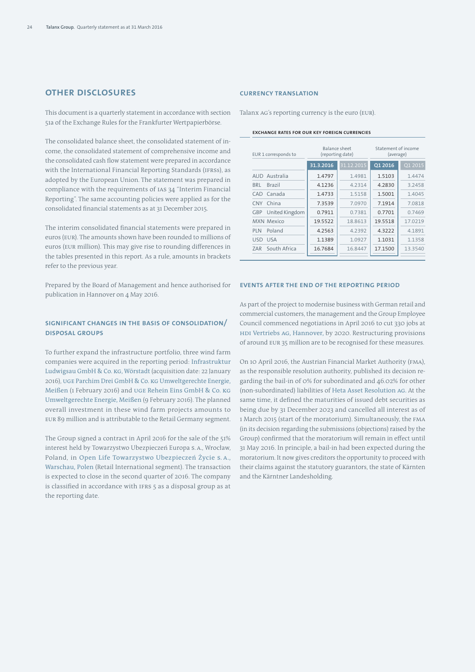# **OTHER DISCLOSURES**

This document is a quarterly statement in accordance with section 51a of the Exchange Rules for the Frankfurter Wertpapierbörse.

The consolidated balance sheet, the consolidated statement of income, the consolidated statement of comprehensive income and the consolidated cash flow statement were prepared in accordance with the International Financial Reporting Standards (IFRSs), as adopted by the European Union. The statement was prepared in compliance with the requirements of IAS 34 "Interim Financial Reporting". The same accounting policies were applied as for the consolidated financial statements as at 31 December 2015.

The interim consolidated financial statements were prepared in euros (EUR). The amounts shown have been rounded to millions of euros (EUR million). This may give rise to rounding differences in the tables presented in this report. As a rule, amounts in brackets refer to the previous year.

Prepared by the Board of Management and hence authorised for publication in Hannover on 4 May 2016.

## **SIGNIFICANT CHANGES IN THE BASIS OF CONSOLIDATION/ DISPOSAL GROUPS**

To further expand the infrastructure portfolio, three wind farm companies were acquired in the reporting period: Infrastruktur Ludwigsau GmbH & Co. KG, Wörstadt (acquisition date: 22 January 2016), UGE Parchim Drei GmbH & Co. KG Umweltgerechte Energie, Meißen (1 February 2016) and UGE Rehein Eins GmbH & Co. KG Umweltgerechte Energie, Meißen (9 February 2016). The planned overall investment in these wind farm projects amounts to EUR 89 million and is attributable to the Retail Germany segment.

The Group signed a contract in April 2016 for the sale of the 51% interest held by Towarzystwo Ubezpieczeń Europa S. A., Wrocław, Poland, in Open Life Towarzystwo Ubezpieczeń Życie S. A., Warschau, Polen (Retail International segment). The transaction is expected to close in the second quarter of 2016. The company is classified in accordance with IFRS 5 as a disposal group as at the reporting date.

## **CURRENCY TRANSLATION**

Talanx AG's reporting currency is the euro (EUR).

#### **EXCHANGE RATES FOR OUR KEY FOREIGN CURRENCIES**

| EUR 1 corresponds to         | Balance sheet<br>(reporting date) |            | Statement of income<br>(average) |         |  |
|------------------------------|-----------------------------------|------------|----------------------------------|---------|--|
|                              | 31.3.2016                         | 31.12.2015 | 01 2016                          | 01 2015 |  |
| Australia<br><b>AUD</b>      | 1.4797                            | 1.4981     | 1.5103                           | 1.4474  |  |
| <b>Brazil</b><br><b>BRL</b>  | 4.1236                            | 4.2314     | 4.2830                           | 3.2458  |  |
| Canada<br>CAD                | 1.4733                            | 1.5158     | 1.5001                           | 1.4045  |  |
| China<br><b>CNY</b>          | 7.3539                            | 7.0970     | 7.1914                           | 7.0818  |  |
| United Kingdom<br><b>GBP</b> | 0.7911                            | 0.7381     | 0.7701                           | 0.7469  |  |
| <b>MXN Mexico</b>            | 19.5522                           | 18.8613    | 19.5518                          | 17.0219 |  |
| Poland<br>PLN                | 4.2563                            | 4.2392     | 4.3222                           | 4.1891  |  |
| <b>USD</b><br><b>USA</b>     | 1.1389                            | 1.0927     | 1.1031                           | 1.1358  |  |
| South Africa<br><b>ZAR</b>   | 16.7684                           | 16.8447    | 17.1500                          | 13.3540 |  |

## **EVENTS AFTER THE END OF THE REPORTING PERIOD**

As part of the project to modernise business with German retail and commercial customers, the management and the Group Employee Council commenced negotiations in April 2016 to cut 330 jobs at HDI Vertriebs AG, Hannover, by 2020. Restructuring provisions of around EUR 35 million are to be recognised for these measures.

On 10 April 2016, the Austrian Financial Market Authority (FMA), as the responsible resolution authority, published its decision regarding the bail-in of 0% for subordinated and 46.02% for other (non-subordinated) liabilities of Heta Asset Resolution AG. At the same time, it defined the maturities of issued debt securities as being due by 31 December 2023 and cancelled all interest as of 1 March 2015 (start of the moratorium). Simultaneously, the FMA (in its decision regarding the submissions (objections) raised by the Group) confirmed that the moratorium will remain in effect until 31 May 2016. In principle, a bail-in had been expected during the moratorium. It now gives creditors the opportunity to proceed with their claims against the statutory guarantors, the state of Kärnten and the Kärntner Landesholding.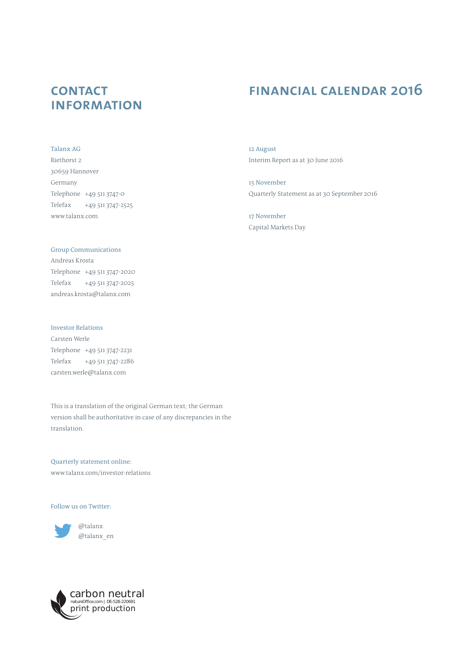# **CONTACT INFORMATION**

# **FINANCIAL CALENDAR 2016**

# Talanx AG

Riethorst 2 30659 Hannover Germany Telephone +49 511 3747-0 Telefax +49 511 3747-2525 www.talanx.com

12 August Interim Report as at 30 June 2016

15 November Quarterly Statement as at 30 September 2016

17 November Capital Markets Day

# Group Communications

Andreas Krosta Telephone +49 511 3747-2020 Telefax +49 511 3747-2025 andreas.krosta@talanx.com

## Investor Relations

Carsten Werle Telephone +49 511 3747-2231 Telefax +49 511 3747-2286 carsten.werle@talanx.com

This is a translation of the original German text; the German version shall be authoritative in case of any discrepancies in the translation.

Quarterly statement online: www.talanx.com/investor-relations

Follow us on Twitter:



@talanx @talanx\_en